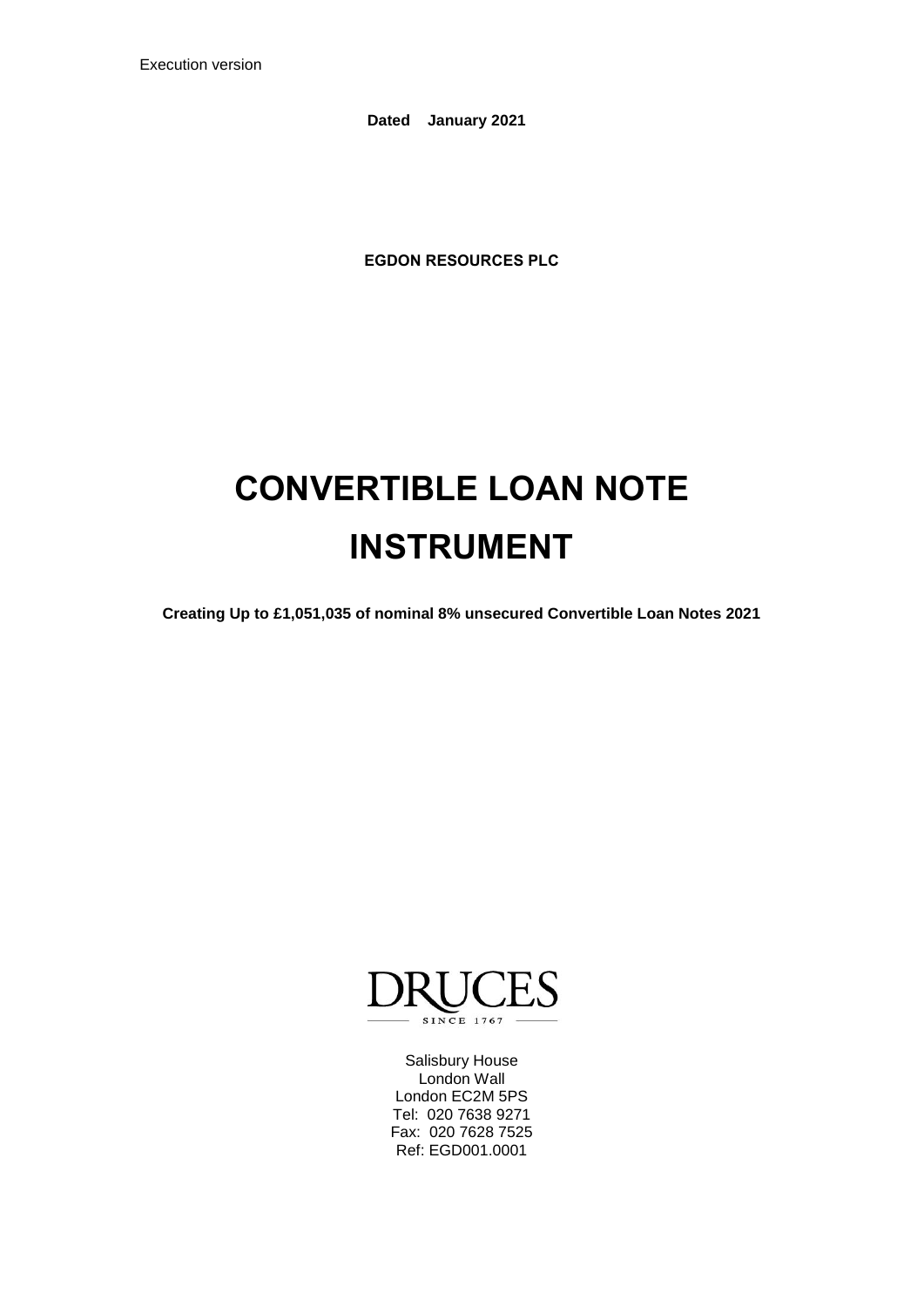Execution version

**Dated January 2021** 

**EGDON RESOURCES PLC**

# **CONVERTIBLE LOAN NOTE INSTRUMENT**

**Creating Up to £1,051,035 of nominal 8% unsecured Convertible Loan Notes 2021**



Salisbury House London Wall London EC2M 5PS Tel: 020 7638 9271 Fax: 020 7628 7525 Ref: EGD001.0001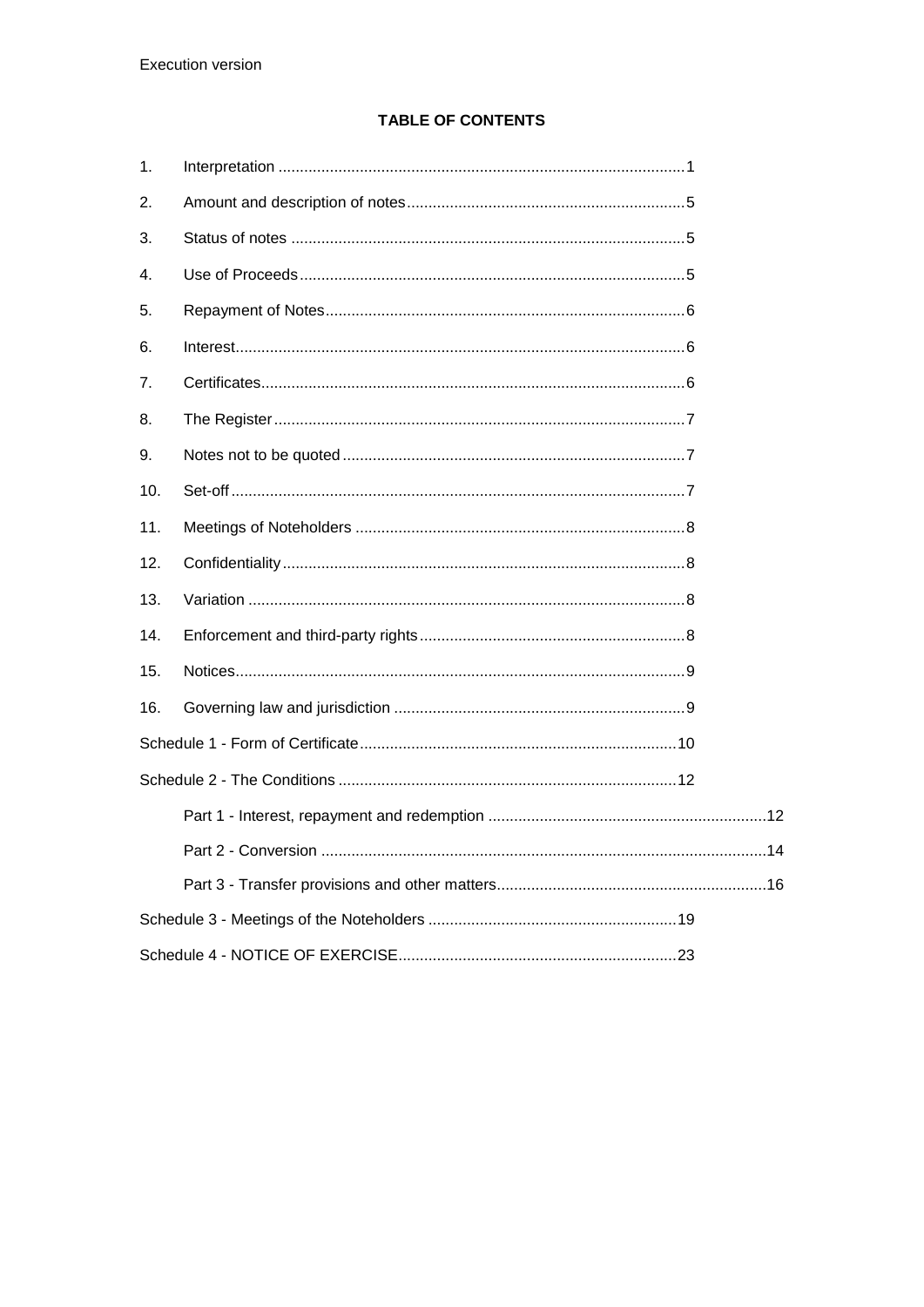# **TABLE OF CONTENTS**

| 1.  |  |  |  |
|-----|--|--|--|
| 2.  |  |  |  |
| 3.  |  |  |  |
| 4.  |  |  |  |
| 5.  |  |  |  |
| 6.  |  |  |  |
| 7.  |  |  |  |
| 8.  |  |  |  |
| 9.  |  |  |  |
| 10. |  |  |  |
| 11. |  |  |  |
| 12. |  |  |  |
| 13. |  |  |  |
| 14. |  |  |  |
| 15. |  |  |  |
| 16. |  |  |  |
|     |  |  |  |
|     |  |  |  |
|     |  |  |  |
|     |  |  |  |
|     |  |  |  |
|     |  |  |  |
|     |  |  |  |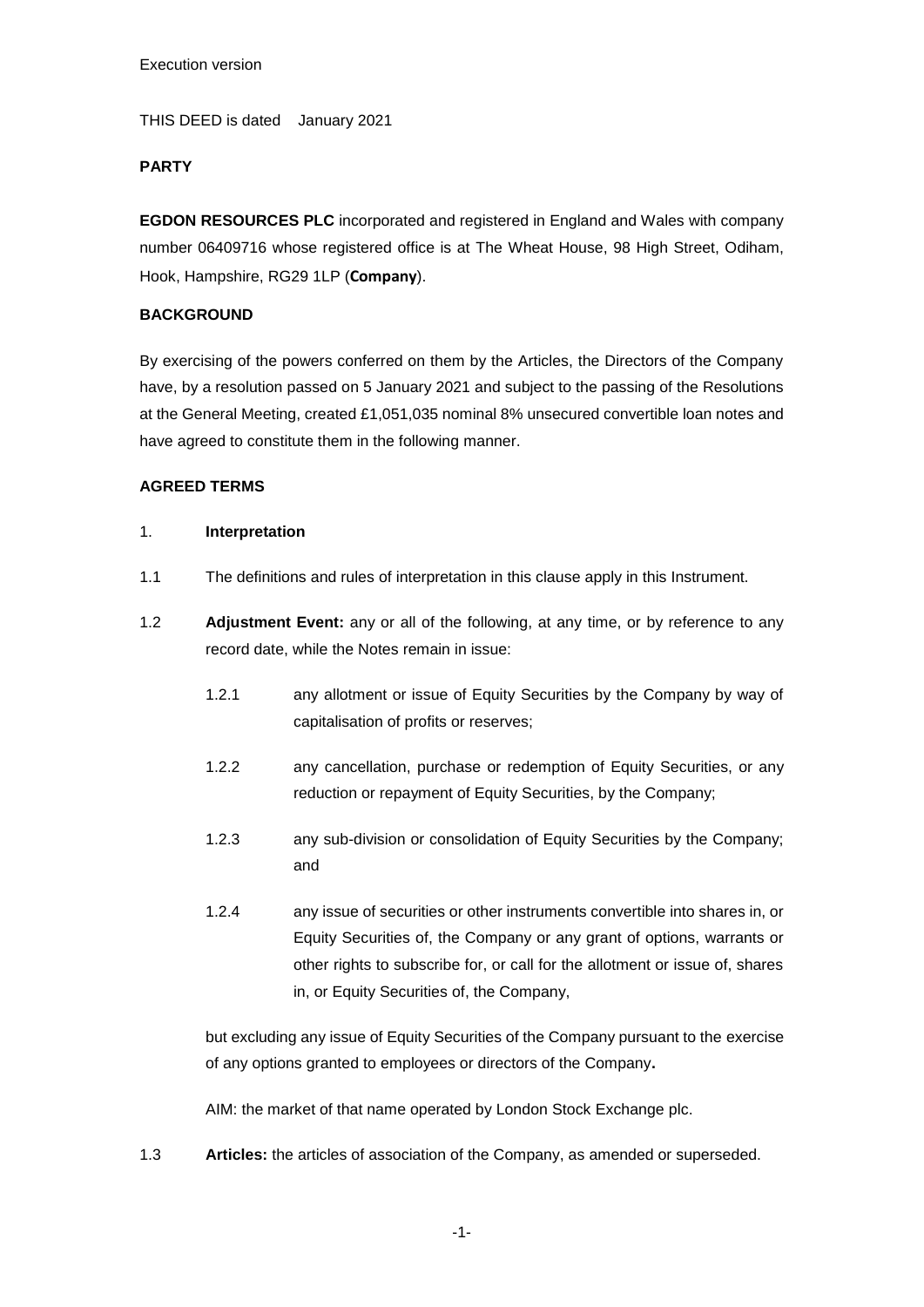THIS DEED is dated January 2021

#### **PARTY**

**EGDON RESOURCES PLC** incorporated and registered in England and Wales with company number 06409716 whose registered office is at The Wheat House, 98 High Street, Odiham, Hook, Hampshire, RG29 1LP (**Company**).

### **BACKGROUND**

By exercising of the powers conferred on them by the Articles, the Directors of the Company have, by a resolution passed on 5 January 2021 and subject to the passing of the Resolutions at the General Meeting, created £1,051,035 nominal 8% unsecured convertible loan notes and have agreed to constitute them in the following manner.

#### **AGREED TERMS**

#### <span id="page-2-0"></span>1. **Interpretation**

- 1.1 The definitions and rules of interpretation in this clause apply in this Instrument.
- 1.2 **Adjustment Event:** any or all of the following, at any time, or by reference to any record date, while the Notes remain in issue:
	- 1.2.1 any allotment or issue of Equity Securities by the Company by way of capitalisation of profits or reserves;
	- 1.2.2 any cancellation, purchase or redemption of Equity Securities, or any reduction or repayment of Equity Securities, by the Company;
	- 1.2.3 any sub-division or consolidation of Equity Securities by the Company; and
	- 1.2.4 any issue of securities or other instruments convertible into shares in, or Equity Securities of, the Company or any grant of options, warrants or other rights to subscribe for, or call for the allotment or issue of, shares in, or Equity Securities of, the Company,

but excluding any issue of Equity Securities of the Company pursuant to the exercise of any options granted to employees or directors of the Company**.**

AIM: the market of that name operated by London Stock Exchange plc.

1.3 **Articles:** the articles of association of the Company, as amended or superseded.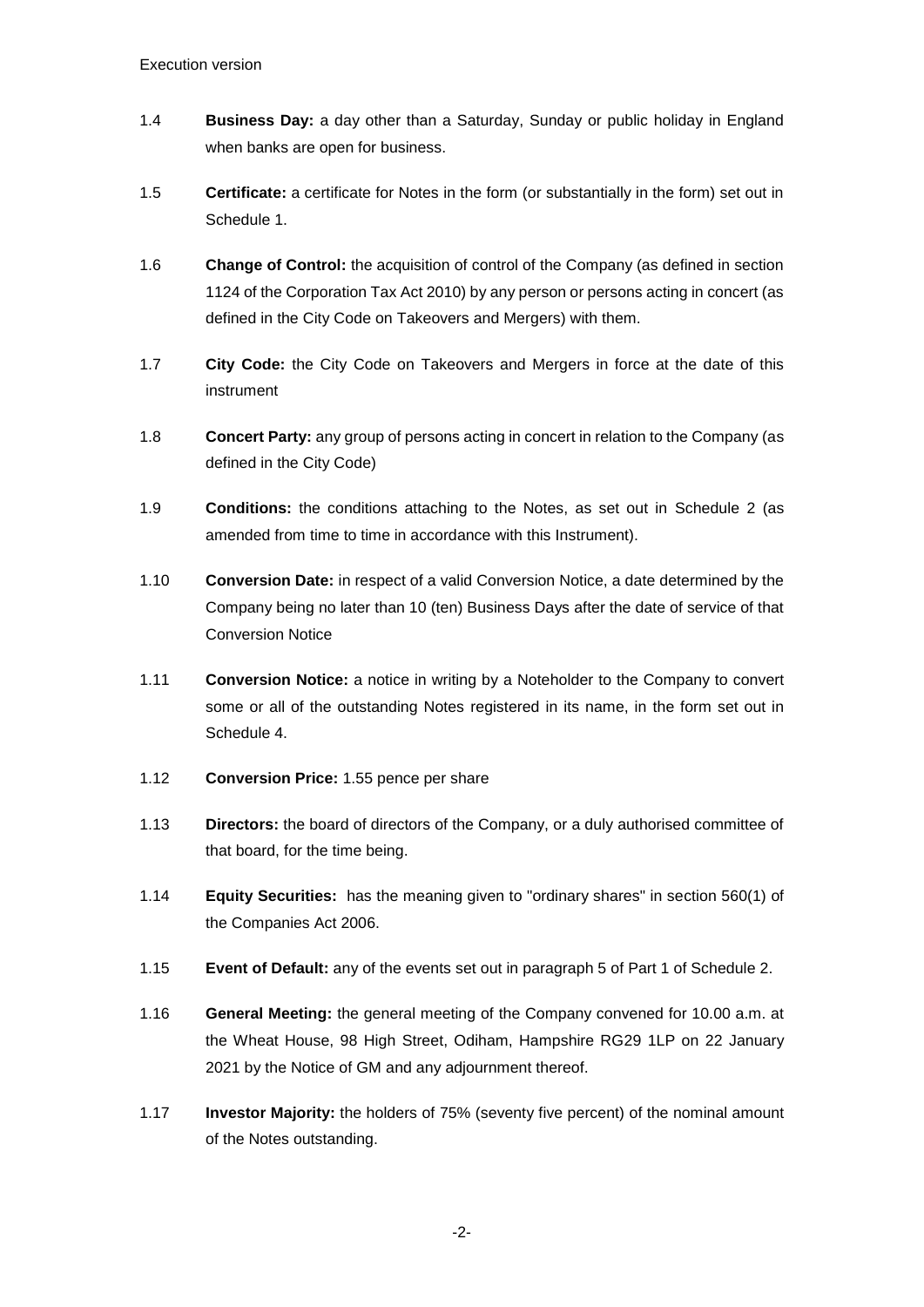- 1.4 **Business Day:** a day other than a Saturday, Sunday or public holiday in England when banks are open for business.
- 1.5 **Certificate:** a certificate for Notes in the form (or substantially in the form) set out in [Schedule 1.](#page-11-1)
- 1.6 **Change of Control:** the acquisition of control of the Company (as defined in section 1124 of the Corporation Tax Act 2010) by any person or persons acting in concert (as defined in the City Code on Takeovers and Mergers) with them.
- 1.7 **City Code:** the City Code on Takeovers and Mergers in force at the date of this instrument
- 1.8 **Concert Party:** any group of persons acting in concert in relation to the Company (as defined in the City Code)
- 1.9 **Conditions:** the conditions attaching to the Notes, as set out in [Schedule 2](#page-13-2) (as amended from time to time in accordance with this Instrument).
- 1.10 **Conversion Date:** in respect of a valid Conversion Notice, a date determined by the Company being no later than 10 (ten) Business Days after the date of service of that Conversion Notice
- 1.11 **Conversion Notice:** a notice in writing by a Noteholder to the Company to convert some or all of the outstanding Notes registered in its name, in the form set out in Schedule 4.
- 1.12 **Conversion Price:** 1.55 pence per share
- 1.13 **Directors:** the board of directors of the Company, or a duly authorised committee of that board, for the time being.
- 1.14 **Equity Securities:** has the meaning given to "ordinary shares" in section 560(1) of the Companies Act 2006.
- 1.15 **Event of Default:** any of the events set out in paragraph 5 of Part 1 of Schedule 2.
- 1.16 **General Meeting:** the general meeting of the Company convened for 10.00 a.m. at the Wheat House, 98 High Street, Odiham, Hampshire RG29 1LP on 22 January 2021 by the Notice of GM and any adjournment thereof.
- 1.17 **Investor Majority:** the holders of 75% (seventy five percent) of the nominal amount of the Notes outstanding.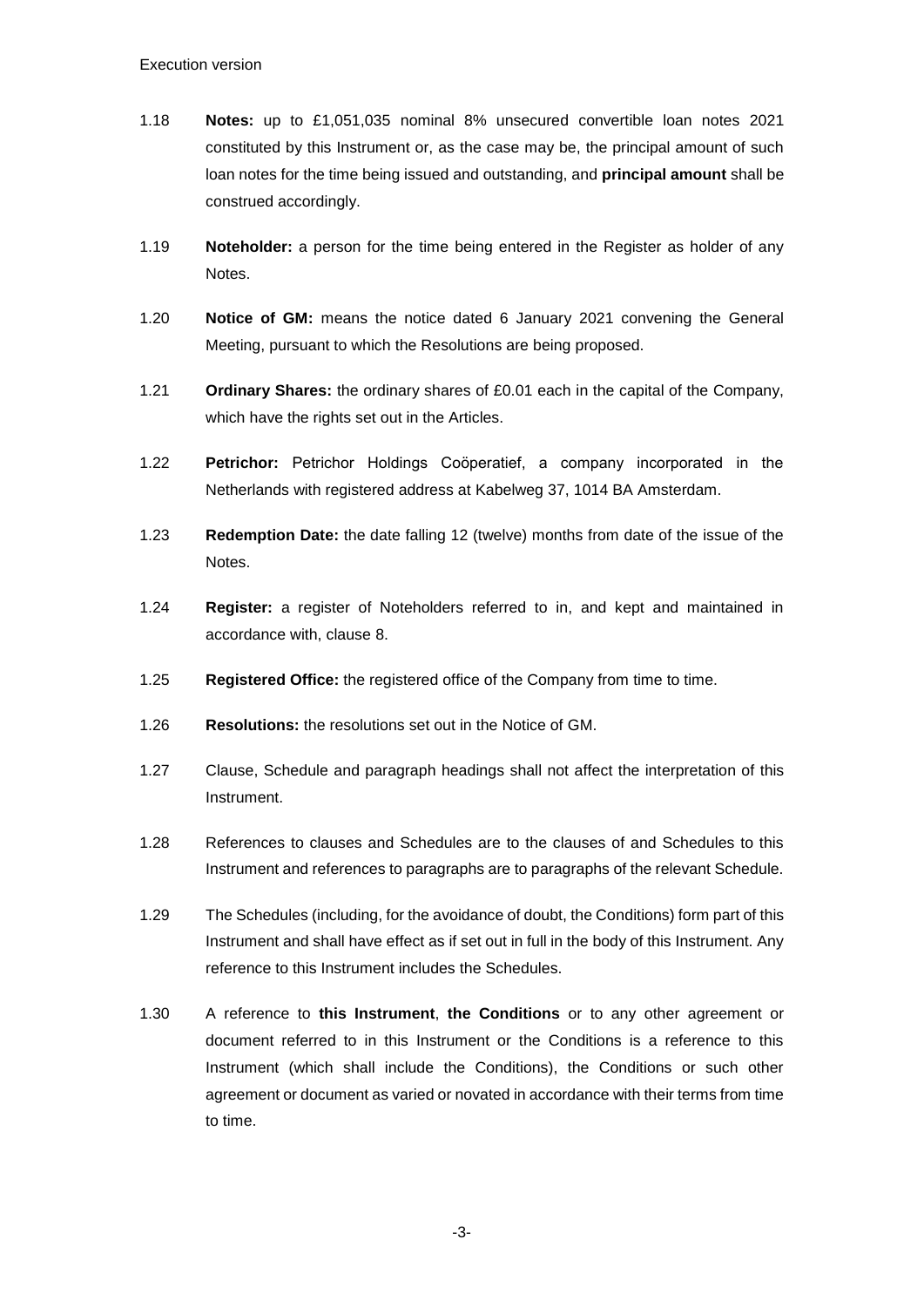- 1.18 **Notes:** up to £1,051,035 nominal 8% unsecured convertible loan notes 2021 constituted by this Instrument or, as the case may be, the principal amount of such loan notes for the time being issued and outstanding, and **principal amount** shall be construed accordingly.
- 1.19 **Noteholder:** a person for the time being entered in the Register as holder of any Notes.
- 1.20 **Notice of GM:** means the notice dated 6 January 2021 convening the General Meeting, pursuant to which the Resolutions are being proposed.
- 1.21 **Ordinary Shares:** the ordinary shares of £0.01 each in the capital of the Company, which have the rights set out in the Articles.
- 1.22 **Petrichor:** Petrichor Holdings Coöperatief, a company incorporated in the Netherlands with registered address at Kabelweg 37, 1014 BA Amsterdam.
- 1.23 **Redemption Date:** the date falling 12 (twelve) months from date of the issue of the Notes.
- 1.24 **Register:** a register of Noteholders referred to in, and kept and maintained in accordance with, clause [8.](#page-8-0)
- 1.25 **Registered Office:** the registered office of the Company from time to time.
- 1.26 **Resolutions:** the resolutions set out in the Notice of GM.
- 1.27 Clause, Schedule and paragraph headings shall not affect the interpretation of this Instrument.
- 1.28 References to clauses and Schedules are to the clauses of and Schedules to this Instrument and references to paragraphs are to paragraphs of the relevant Schedule.
- 1.29 The Schedules (including, for the avoidance of doubt, the Conditions) form part of this Instrument and shall have effect as if set out in full in the body of this Instrument. Any reference to this Instrument includes the Schedules.
- 1.30 A reference to **this Instrument**, **the Conditions** or to any other agreement or document referred to in this Instrument or the Conditions is a reference to this Instrument (which shall include the Conditions), the Conditions or such other agreement or document as varied or novated in accordance with their terms from time to time.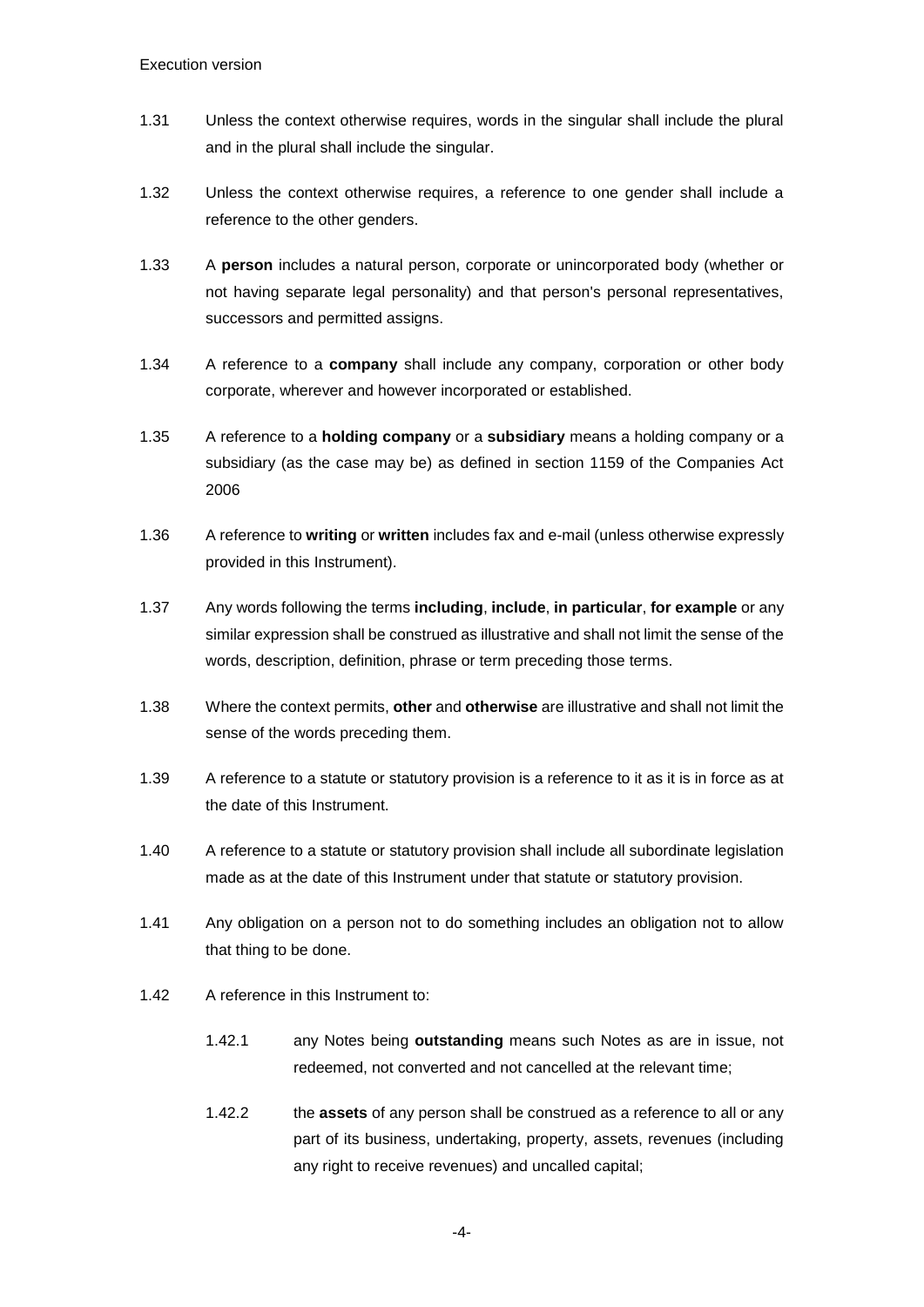- 1.31 Unless the context otherwise requires, words in the singular shall include the plural and in the plural shall include the singular.
- 1.32 Unless the context otherwise requires, a reference to one gender shall include a reference to the other genders.
- 1.33 A **person** includes a natural person, corporate or unincorporated body (whether or not having separate legal personality) and that person's personal representatives, successors and permitted assigns.
- 1.34 A reference to a **company** shall include any company, corporation or other body corporate, wherever and however incorporated or established.
- 1.35 A reference to a **holding company** or a **subsidiary** means a holding company or a subsidiary (as the case may be) as defined in section 1159 of the Companies Act 2006
- 1.36 A reference to **writing** or **written** includes fax and e-mail (unless otherwise expressly provided in this Instrument).
- 1.37 Any words following the terms **including**, **include**, **in particular**, **for example** or any similar expression shall be construed as illustrative and shall not limit the sense of the words, description, definition, phrase or term preceding those terms.
- 1.38 Where the context permits, **other** and **otherwise** are illustrative and shall not limit the sense of the words preceding them.
- 1.39 A reference to a statute or statutory provision is a reference to it as it is in force as at the date of this Instrument.
- 1.40 A reference to a statute or statutory provision shall include all subordinate legislation made as at the date of this Instrument under that statute or statutory provision.
- 1.41 Any obligation on a person not to do something includes an obligation not to allow that thing to be done.
- 1.42 A reference in this Instrument to:
	- 1.42.1 any Notes being **outstanding** means such Notes as are in issue, not redeemed, not converted and not cancelled at the relevant time;
	- 1.42.2 the **assets** of any person shall be construed as a reference to all or any part of its business, undertaking, property, assets, revenues (including any right to receive revenues) and uncalled capital;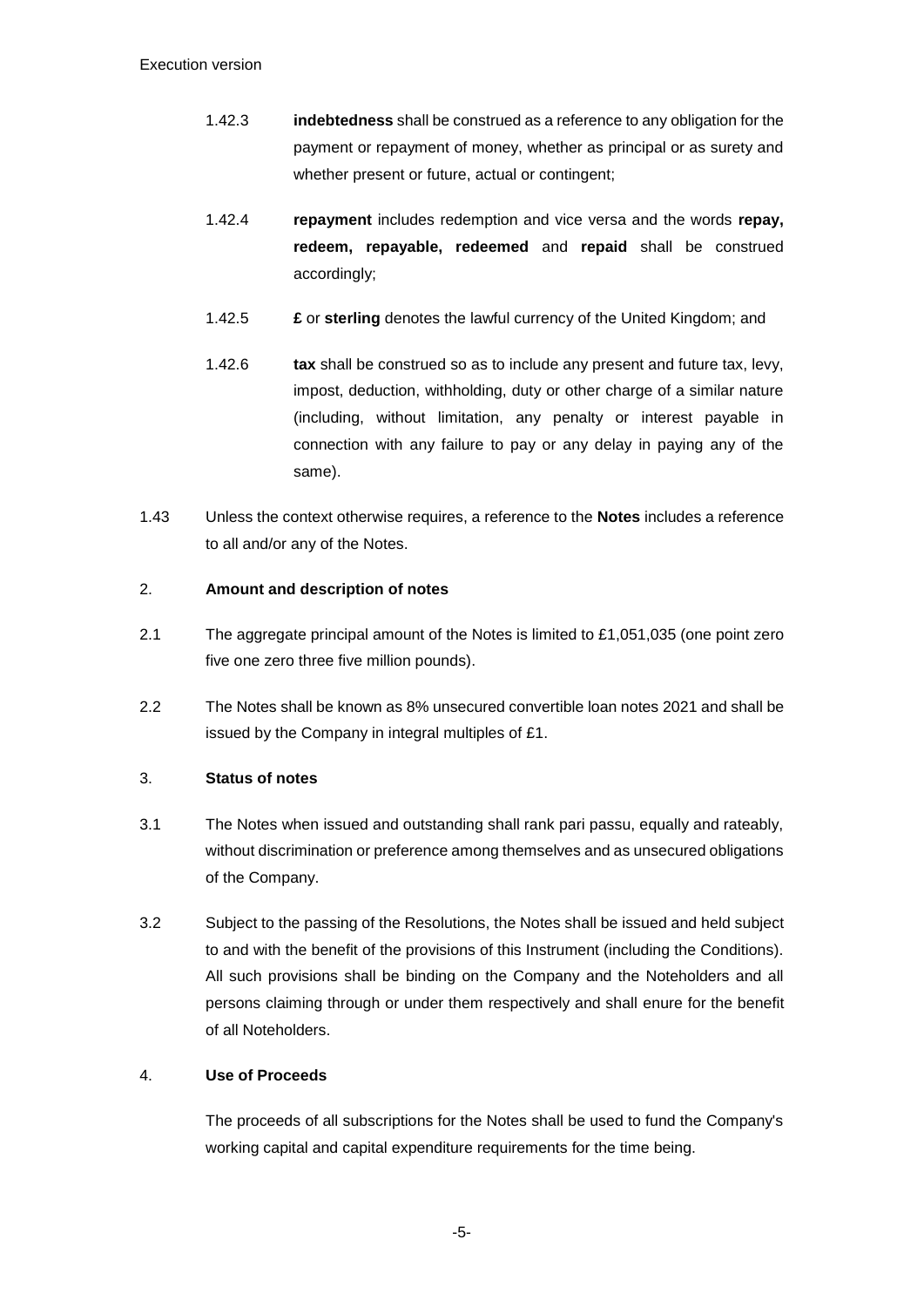- 1.42.3 **indebtedness** shall be construed as a reference to any obligation for the payment or repayment of money, whether as principal or as surety and whether present or future, actual or contingent;
- 1.42.4 **repayment** includes redemption and vice versa and the words **repay, redeem, repayable, redeemed** and **repaid** shall be construed accordingly;
- 1.42.5 **£** or **sterling** denotes the lawful currency of the United Kingdom; and
- 1.42.6 **tax** shall be construed so as to include any present and future tax, levy, impost, deduction, withholding, duty or other charge of a similar nature (including, without limitation, any penalty or interest payable in connection with any failure to pay or any delay in paying any of the same).
- 1.43 Unless the context otherwise requires, a reference to the **Notes** includes a reference to all and/or any of the Notes.

### <span id="page-6-0"></span>2. **Amount and description of notes**

- 2.1 The aggregate principal amount of the Notes is limited to £1,051,035 (one point zero five one zero three five million pounds).
- 2.2 The Notes shall be known as 8% unsecured convertible loan notes 2021 and shall be issued by the Company in integral multiples of £1.

#### <span id="page-6-1"></span>3. **Status of notes**

- 3.1 The Notes when issued and outstanding shall rank pari passu, equally and rateably, without discrimination or preference among themselves and as unsecured obligations of the Company.
- 3.2 Subject to the passing of the Resolutions, the Notes shall be issued and held subject to and with the benefit of the provisions of this Instrument (including the Conditions). All such provisions shall be binding on the Company and the Noteholders and all persons claiming through or under them respectively and shall enure for the benefit of all Noteholders.

# <span id="page-6-2"></span>4. **Use of Proceeds**

The proceeds of all subscriptions for the Notes shall be used to fund the Company's working capital and capital expenditure requirements for the time being.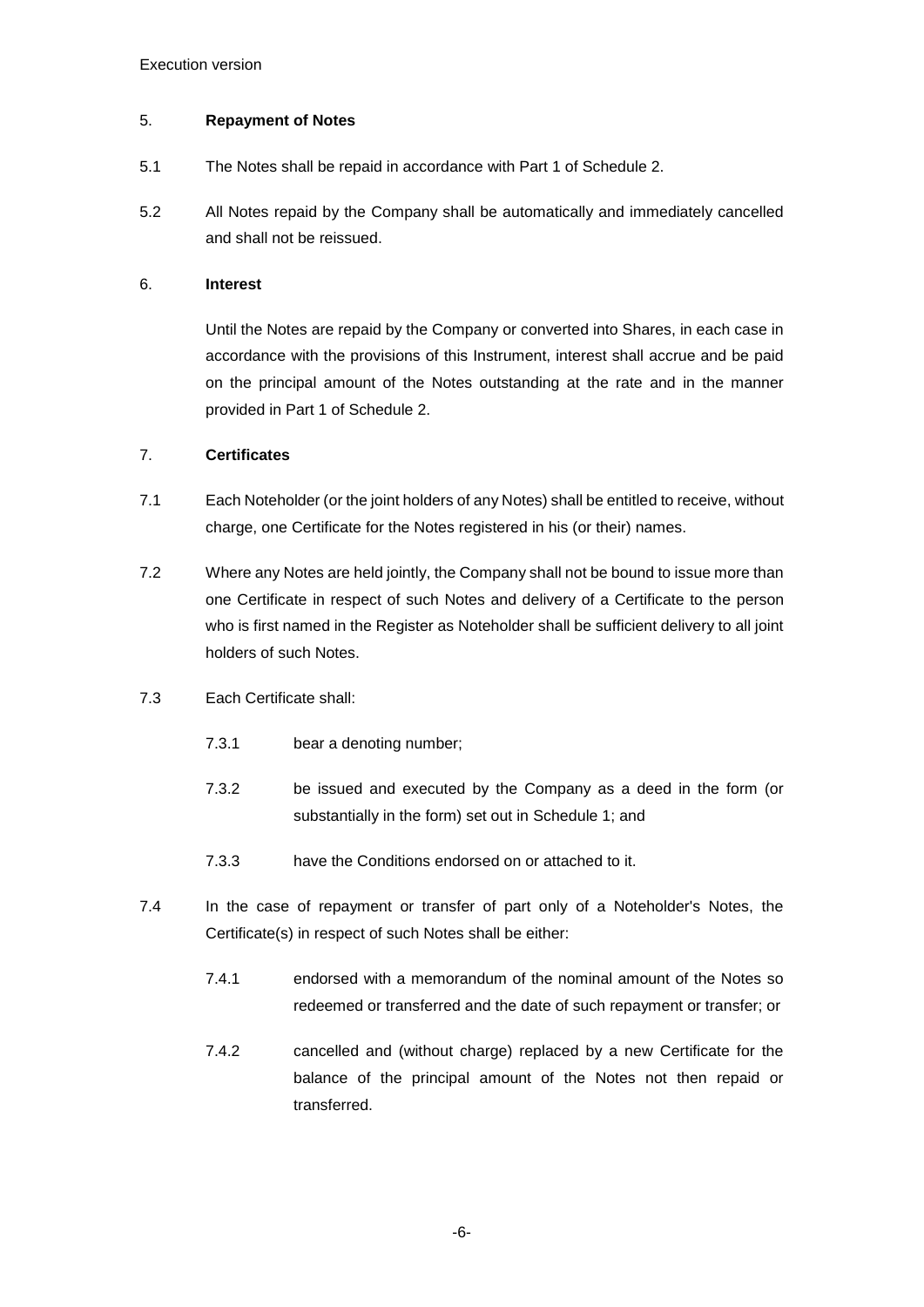#### <span id="page-7-0"></span>5. **Repayment of Notes**

- 5.1 The Notes shall be repaid in accordance with Part 1 of Schedule 2.
- 5.2 All Notes repaid by the Company shall be automatically and immediately cancelled and shall not be reissued.

#### <span id="page-7-1"></span>6. **Interest**

Until the Notes are repaid by the Company or converted into Shares, in each case in accordance with the provisions of this Instrument, interest shall accrue and be paid on the principal amount of the Notes outstanding at the rate and in the manner provided in Part 1 of Schedule 2.

### <span id="page-7-2"></span>7. **Certificates**

- 7.1 Each Noteholder (or the joint holders of any Notes) shall be entitled to receive, without charge, one Certificate for the Notes registered in his (or their) names.
- 7.2 Where any Notes are held jointly, the Company shall not be bound to issue more than one Certificate in respect of such Notes and delivery of a Certificate to the person who is first named in the Register as Noteholder shall be sufficient delivery to all joint holders of such Notes.
- 7.3 Each Certificate shall:
	- 7.3.1 bear a denoting number;
	- 7.3.2 be issued and executed by the Company as a deed in the form (or substantially in the form) set out in [Schedule 1;](#page-11-1) and
	- 7.3.3 have the Conditions endorsed on or attached to it.
- 7.4 In the case of repayment or transfer of part only of a Noteholder's Notes, the Certificate(s) in respect of such Notes shall be either:
	- 7.4.1 endorsed with a memorandum of the nominal amount of the Notes so redeemed or transferred and the date of such repayment or transfer; or
	- 7.4.2 cancelled and (without charge) replaced by a new Certificate for the balance of the principal amount of the Notes not then repaid or transferred.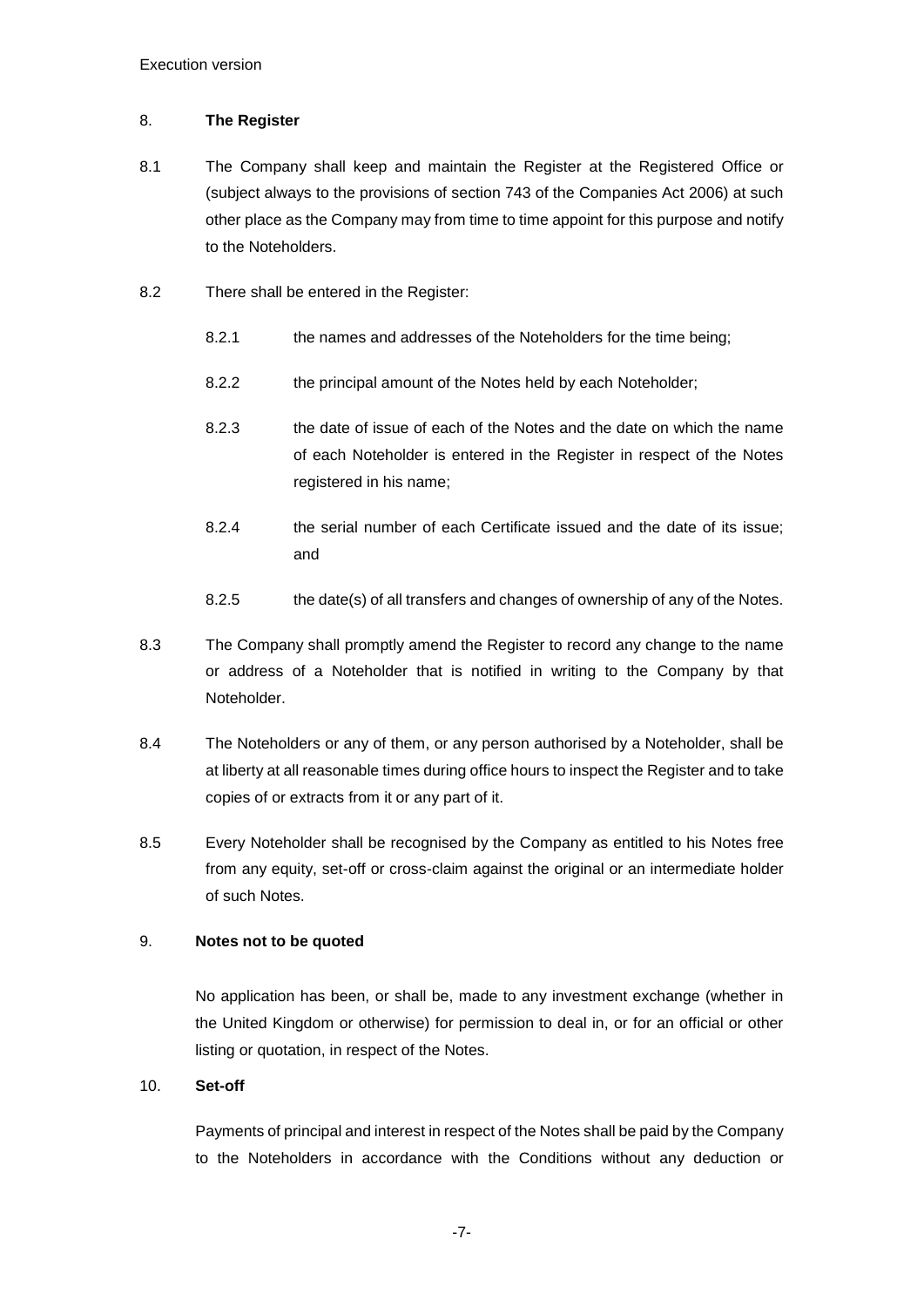#### <span id="page-8-0"></span>8. **The Register**

- 8.1 The Company shall keep and maintain the Register at the Registered Office or (subject always to the provisions of section 743 of the Companies Act 2006) at such other place as the Company may from time to time appoint for this purpose and notify to the Noteholders.
- 8.2 There shall be entered in the Register:
	- 8.2.1 the names and addresses of the Noteholders for the time being;
	- 8.2.2 the principal amount of the Notes held by each Noteholder;
	- 8.2.3 the date of issue of each of the Notes and the date on which the name of each Noteholder is entered in the Register in respect of the Notes registered in his name;
	- 8.2.4 the serial number of each Certificate issued and the date of its issue; and
	- 8.2.5 the date(s) of all transfers and changes of ownership of any of the Notes.
- 8.3 The Company shall promptly amend the Register to record any change to the name or address of a Noteholder that is notified in writing to the Company by that Noteholder.
- 8.4 The Noteholders or any of them, or any person authorised by a Noteholder, shall be at liberty at all reasonable times during office hours to inspect the Register and to take copies of or extracts from it or any part of it.
- 8.5 Every Noteholder shall be recognised by the Company as entitled to his Notes free from any equity, set-off or cross-claim against the original or an intermediate holder of such Notes.

#### <span id="page-8-1"></span>9. **Notes not to be quoted**

No application has been, or shall be, made to any investment exchange (whether in the United Kingdom or otherwise) for permission to deal in, or for an official or other listing or quotation, in respect of the Notes.

#### <span id="page-8-2"></span>10. **Set-off**

Payments of principal and interest in respect of the Notes shall be paid by the Company to the Noteholders in accordance with the Conditions without any deduction or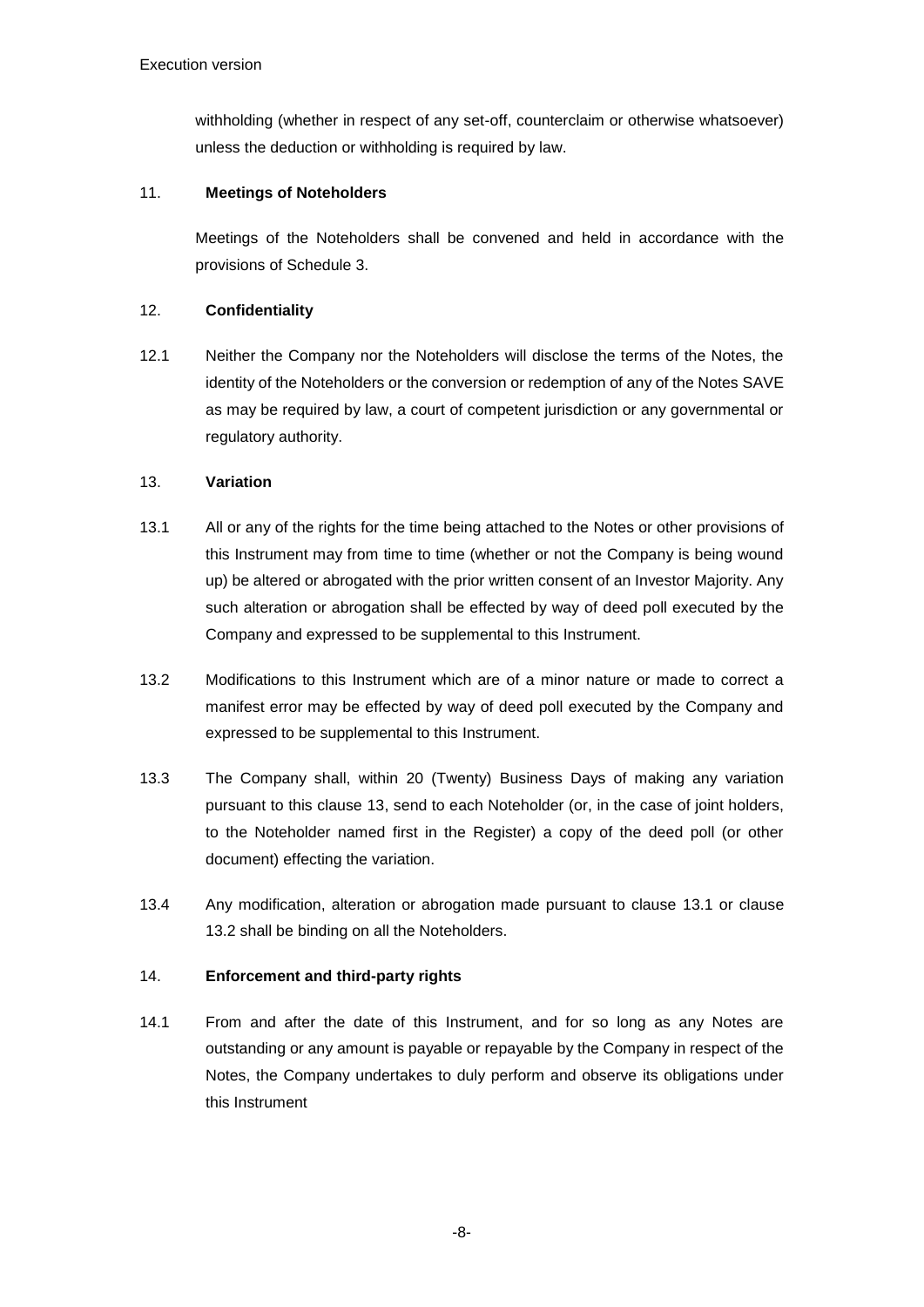withholding (whether in respect of any set-off, counterclaim or otherwise whatsoever) unless the deduction or withholding is required by law.

# <span id="page-9-0"></span>11. **Meetings of Noteholders**

Meetings of the Noteholders shall be convened and held in accordance with the provisions of [Schedule 3.](#page-20-1)

# <span id="page-9-1"></span>12. **Confidentiality**

12.1 Neither the Company nor the Noteholders will disclose the terms of the Notes, the identity of the Noteholders or the conversion or redemption of any of the Notes SAVE as may be required by law, a court of competent jurisdiction or any governmental or regulatory authority.

### <span id="page-9-2"></span>13. **Variation**

- <span id="page-9-4"></span>13.1 All or any of the rights for the time being attached to the Notes or other provisions of this Instrument may from time to time (whether or not the Company is being wound up) be altered or abrogated with the prior written consent of an Investor Majority. Any such alteration or abrogation shall be effected by way of deed poll executed by the Company and expressed to be supplemental to this Instrument.
- <span id="page-9-5"></span>13.2 Modifications to this Instrument which are of a minor nature or made to correct a manifest error may be effected by way of deed poll executed by the Company and expressed to be supplemental to this Instrument.
- 13.3 The Company shall, within 20 (Twenty) Business Days of making any variation pursuant to this clause [13,](#page-9-2) send to each Noteholder (or, in the case of joint holders, to the Noteholder named first in the Register) a copy of the deed poll (or other document) effecting the variation.
- 13.4 Any modification, alteration or abrogation made pursuant to clause [13.1](#page-9-4) or clause [13.2](#page-9-5) shall be binding on all the Noteholders.

# <span id="page-9-3"></span>14. **Enforcement and third-party rights**

14.1 From and after the date of this Instrument, and for so long as any Notes are outstanding or any amount is payable or repayable by the Company in respect of the Notes, the Company undertakes to duly perform and observe its obligations under this Instrument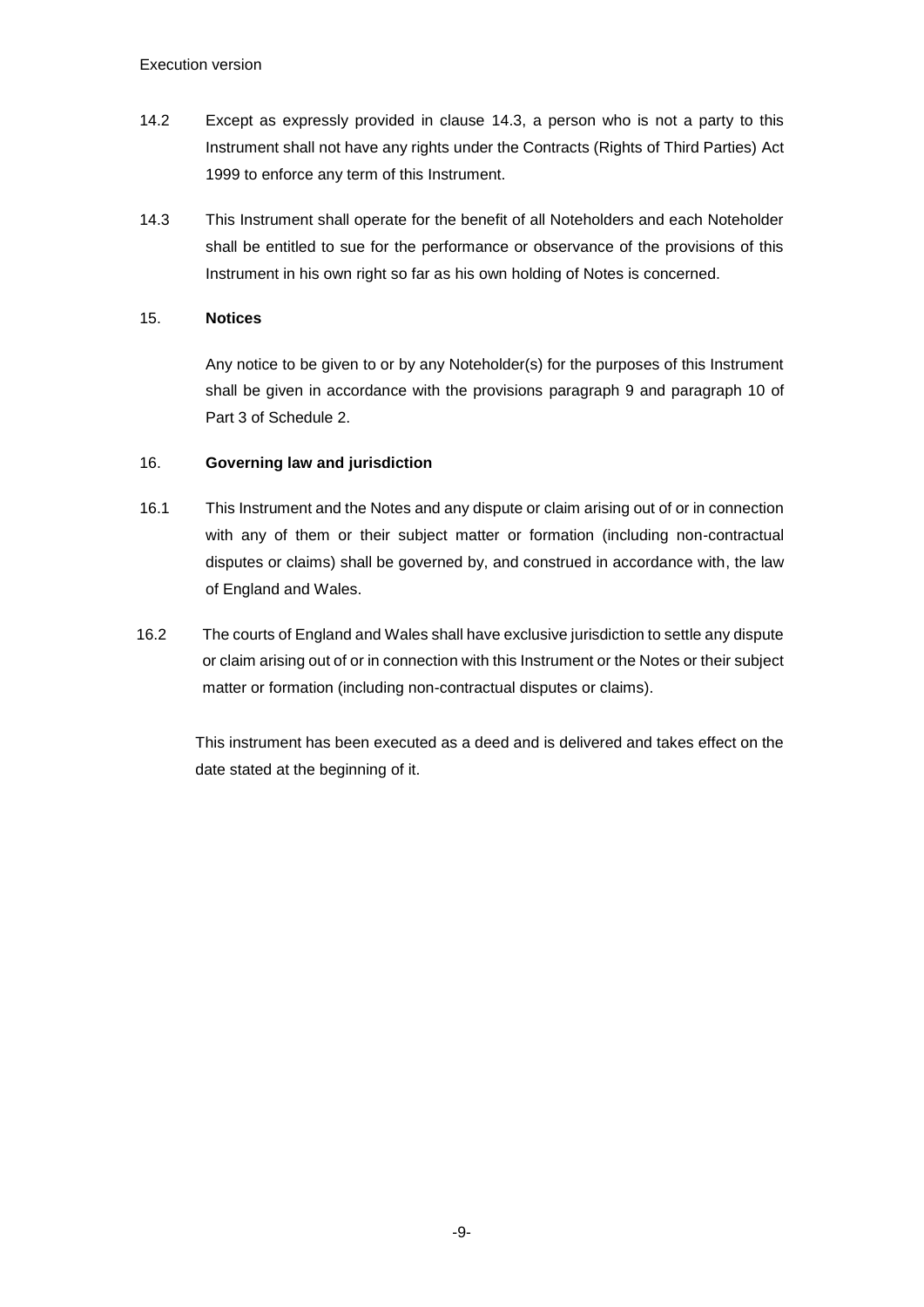- 14.2 Except as expressly provided in clause [14.3,](#page-10-2) a person who is not a party to this Instrument shall not have any rights under the Contracts (Rights of Third Parties) Act 1999 to enforce any term of this Instrument.
- <span id="page-10-2"></span>14.3 This Instrument shall operate for the benefit of all Noteholders and each Noteholder shall be entitled to sue for the performance or observance of the provisions of this Instrument in his own right so far as his own holding of Notes is concerned.

#### <span id="page-10-0"></span>15. **Notices**

Any notice to be given to or by any Noteholder(s) for the purposes of this Instrument shall be given in accordance with the provisions paragraph 9 and paragraph 10 of Part 3 of Schedule 2.

### <span id="page-10-1"></span>16. **Governing law and jurisdiction**

- 16.1 This Instrument and the Notes and any dispute or claim arising out of or in connection with any of them or their subject matter or formation (including non-contractual disputes or claims) shall be governed by, and construed in accordance with, the law of England and Wales.
- 16.2 The courts of England and Wales shall have exclusive jurisdiction to settle any dispute or claim arising out of or in connection with this Instrument or the Notes or their subject matter or formation (including non-contractual disputes or claims).

This instrument has been executed as a deed and is delivered and takes effect on the date stated at the beginning of it.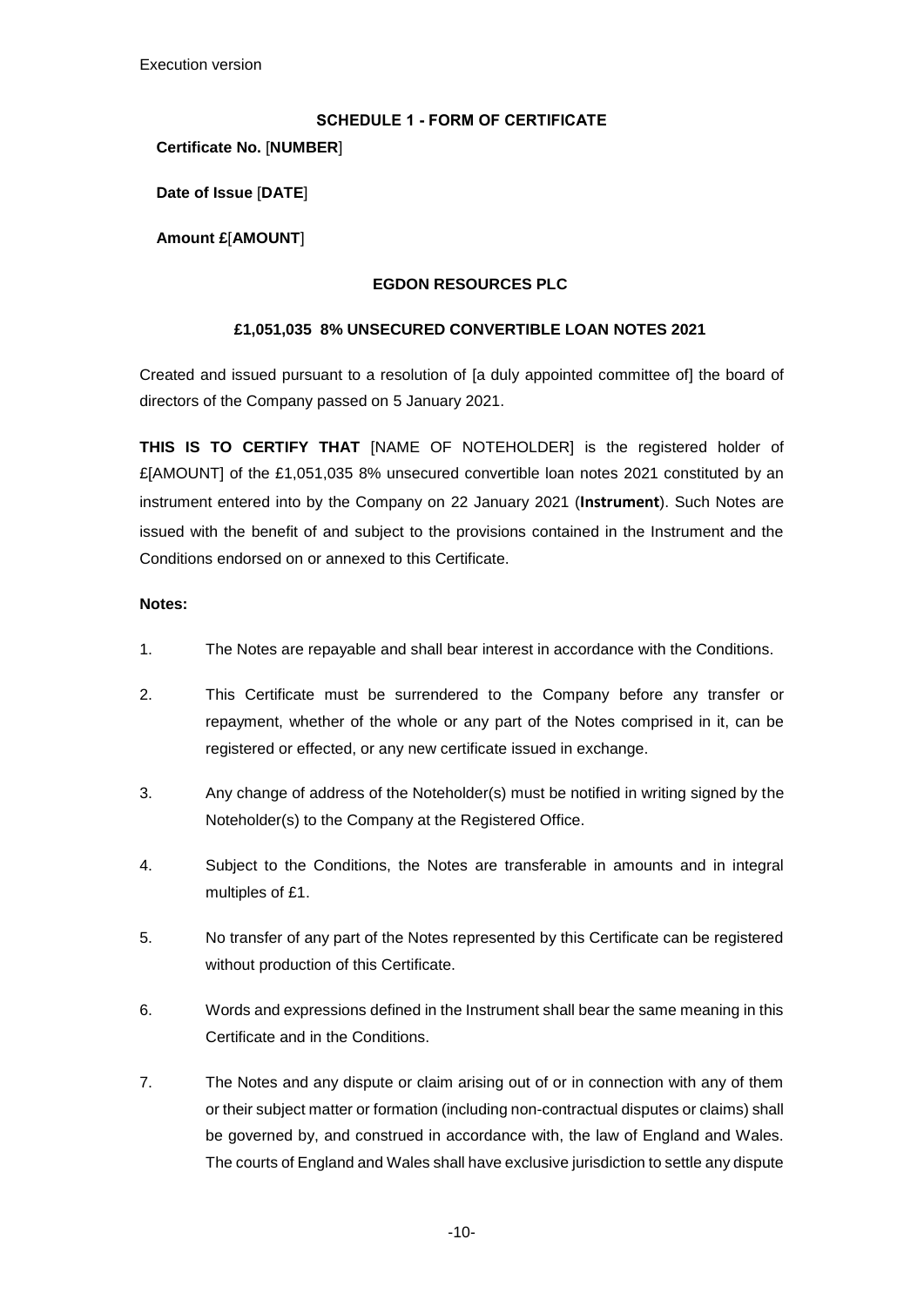#### <span id="page-11-0"></span>**SCHEDULE 1 - FORM OF CERTIFICATE**

<span id="page-11-1"></span>**Certificate No.** [**NUMBER**]

**Date of Issue** [**DATE**]

**Amount £**[**AMOUNT**]

### **EGDON RESOURCES PLC**

### **£1,051,035 8% UNSECURED CONVERTIBLE LOAN NOTES 2021**

Created and issued pursuant to a resolution of [a duly appointed committee of] the board of directors of the Company passed on 5 January 2021.

**THIS IS TO CERTIFY THAT** [NAME OF NOTEHOLDER] is the registered holder of £[AMOUNT] of the £1,051,035 8% unsecured convertible loan notes 2021 constituted by an instrument entered into by the Company on 22 January 2021 (**Instrument**). Such Notes are issued with the benefit of and subject to the provisions contained in the Instrument and the Conditions endorsed on or annexed to this Certificate.

#### **Notes:**

- 1. The Notes are repayable and shall bear interest in accordance with the Conditions.
- 2. This Certificate must be surrendered to the Company before any transfer or repayment, whether of the whole or any part of the Notes comprised in it, can be registered or effected, or any new certificate issued in exchange.
- 3. Any change of address of the Noteholder(s) must be notified in writing signed by the Noteholder(s) to the Company at the Registered Office.
- 4. Subject to the Conditions, the Notes are transferable in amounts and in integral multiples of £1.
- 5. No transfer of any part of the Notes represented by this Certificate can be registered without production of this Certificate.
- 6. Words and expressions defined in the Instrument shall bear the same meaning in this Certificate and in the Conditions.
- 7. The Notes and any dispute or claim arising out of or in connection with any of them or their subject matter or formation (including non-contractual disputes or claims) shall be governed by, and construed in accordance with, the law of England and Wales. The courts of England and Wales shall have exclusive jurisdiction to settle any dispute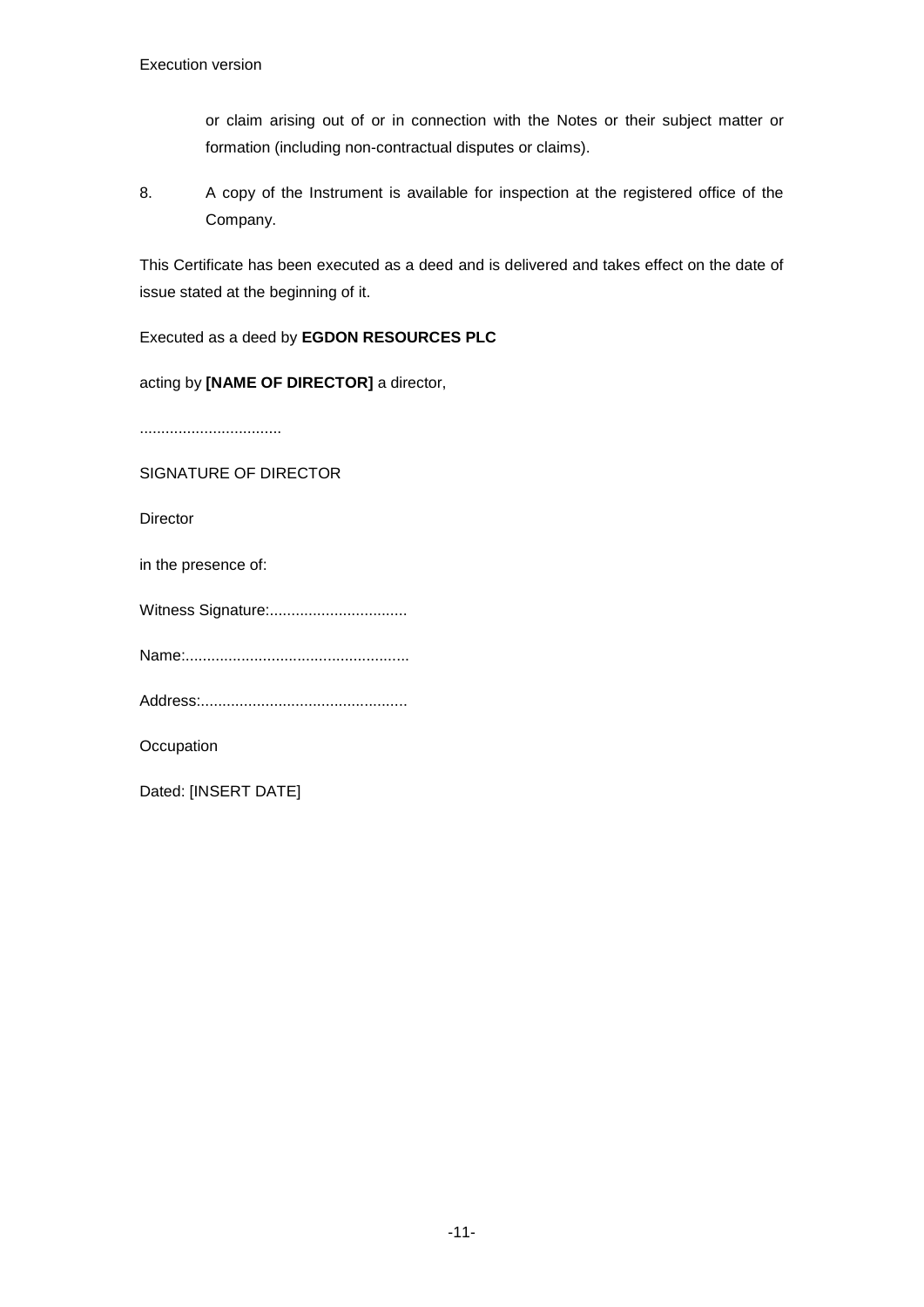or claim arising out of or in connection with the Notes or their subject matter or formation (including non-contractual disputes or claims).

8. A copy of the Instrument is available for inspection at the registered office of the Company.

This Certificate has been executed as a deed and is delivered and takes effect on the date of issue stated at the beginning of it.

# Executed as a deed by **EGDON RESOURCES PLC**

acting by **[NAME OF DIRECTOR]** a director,

.................................

SIGNATURE OF DIRECTOR

Director

in the presence of:

Witness Signature:................................

Name:....................................................

Address:................................................

**Occupation** 

Dated: [INSERT DATE]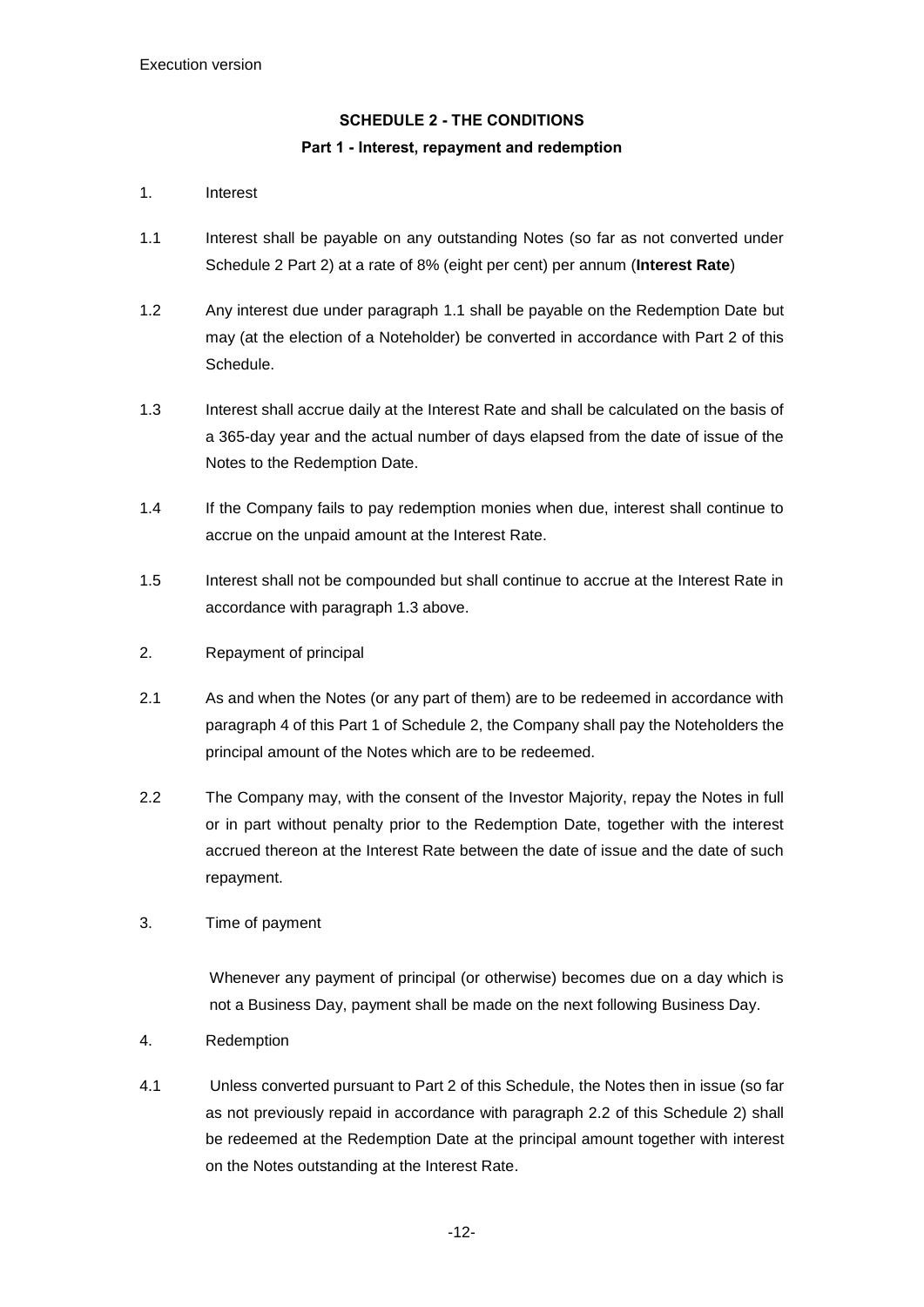# <span id="page-13-2"></span><span id="page-13-0"></span>**SCHEDULE 2 - THE CONDITIONS Part 1 - Interest, repayment and redemption**

#### <span id="page-13-1"></span>1. Interest

- 1.1 Interest shall be payable on any outstanding Notes (so far as not converted under Schedule 2 Part 2) at a rate of 8% (eight per cent) per annum (**Interest Rate**)
- 1.2 Any interest due under paragraph 1.1 shall be payable on the Redemption Date but may (at the election of a Noteholder) be converted in accordance with Part 2 of this Schedule.
- 1.3 Interest shall accrue daily at the Interest Rate and shall be calculated on the basis of a 365-day year and the actual number of days elapsed from the date of issue of the Notes to the Redemption Date.
- 1.4 If the Company fails to pay redemption monies when due, interest shall continue to accrue on the unpaid amount at the Interest Rate.
- 1.5 Interest shall not be compounded but shall continue to accrue at the Interest Rate in accordance with paragraph 1.3 above.
- 2. Repayment of principal
- 2.1 As and when the Notes (or any part of them) are to be redeemed in accordance with paragraph 4 of this Part 1 of Schedule 2, the Company shall pay the Noteholders the principal amount of the Notes which are to be redeemed.
- 2.2 The Company may, with the consent of the Investor Majority, repay the Notes in full or in part without penalty prior to the Redemption Date, together with the interest accrued thereon at the Interest Rate between the date of issue and the date of such repayment.
- 3. Time of payment

Whenever any payment of principal (or otherwise) becomes due on a day which is not a Business Day, payment shall be made on the next following Business Day.

- 4. Redemption
- 4.1 Unless converted pursuant to Part 2 of this Schedule, the Notes then in issue (so far as not previously repaid in accordance with paragraph 2.2 of this Schedule 2) shall be redeemed at the Redemption Date at the principal amount together with interest on the Notes outstanding at the Interest Rate.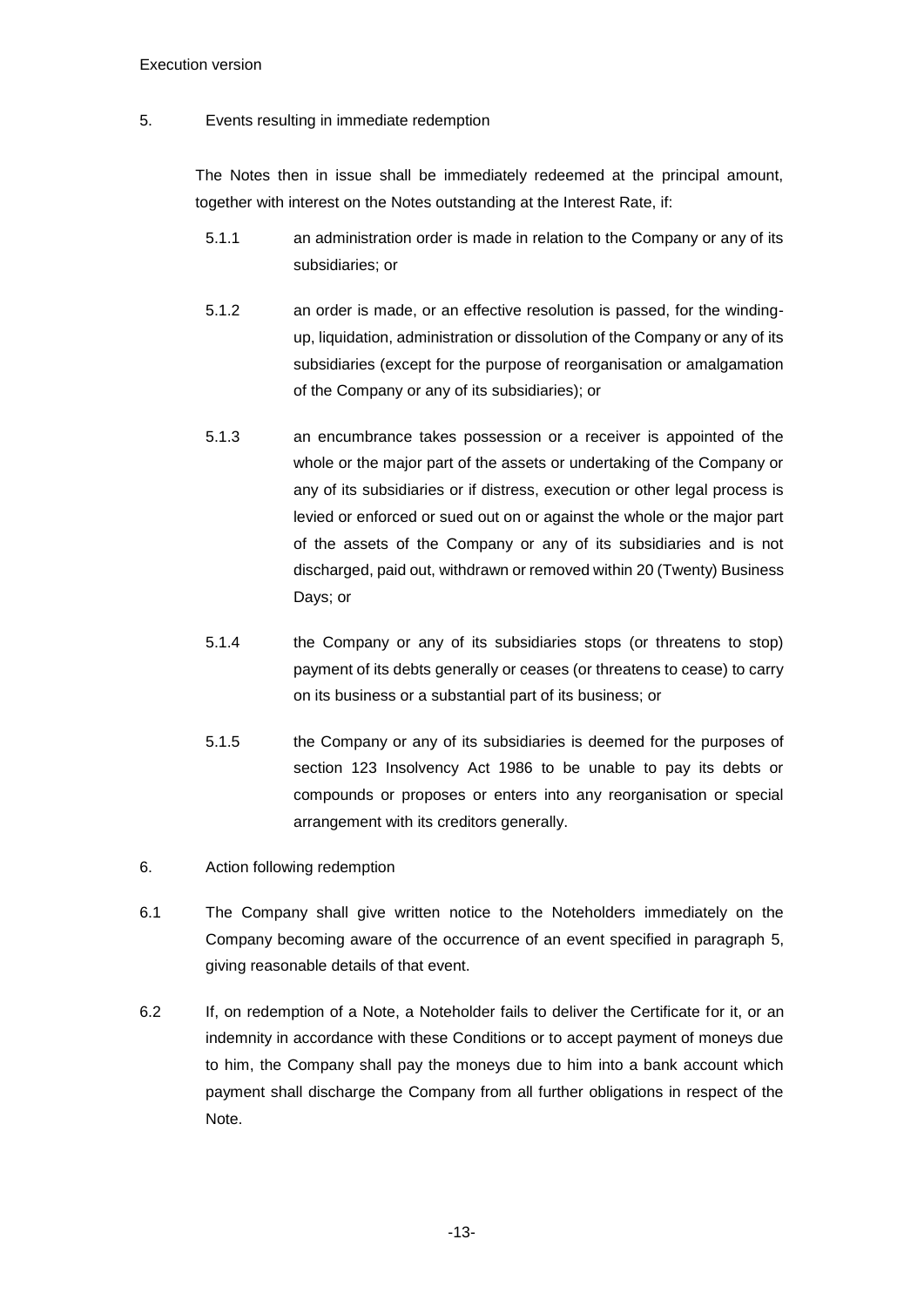#### 5. Events resulting in immediate redemption

The Notes then in issue shall be immediately redeemed at the principal amount, together with interest on the Notes outstanding at the Interest Rate, if:

- 5.1.1 an administration order is made in relation to the Company or any of its subsidiaries; or
- 5.1.2 an order is made, or an effective resolution is passed, for the windingup, liquidation, administration or dissolution of the Company or any of its subsidiaries (except for the purpose of reorganisation or amalgamation of the Company or any of its subsidiaries); or
- 5.1.3 an encumbrance takes possession or a receiver is appointed of the whole or the major part of the assets or undertaking of the Company or any of its subsidiaries or if distress, execution or other legal process is levied or enforced or sued out on or against the whole or the major part of the assets of the Company or any of its subsidiaries and is not discharged, paid out, withdrawn or removed within 20 (Twenty) Business Days; or
- 5.1.4 the Company or any of its subsidiaries stops (or threatens to stop) payment of its debts generally or ceases (or threatens to cease) to carry on its business or a substantial part of its business; or
- 5.1.5 the Company or any of its subsidiaries is deemed for the purposes of section 123 Insolvency Act 1986 to be unable to pay its debts or compounds or proposes or enters into any reorganisation or special arrangement with its creditors generally.
- 6. Action following redemption
- 6.1 The Company shall give written notice to the Noteholders immediately on the Company becoming aware of the occurrence of an event specified in paragraph 5, giving reasonable details of that event.
- 6.2 If, on redemption of a Note, a Noteholder fails to deliver the Certificate for it, or an indemnity in accordance with these Conditions or to accept payment of moneys due to him, the Company shall pay the moneys due to him into a bank account which payment shall discharge the Company from all further obligations in respect of the Note.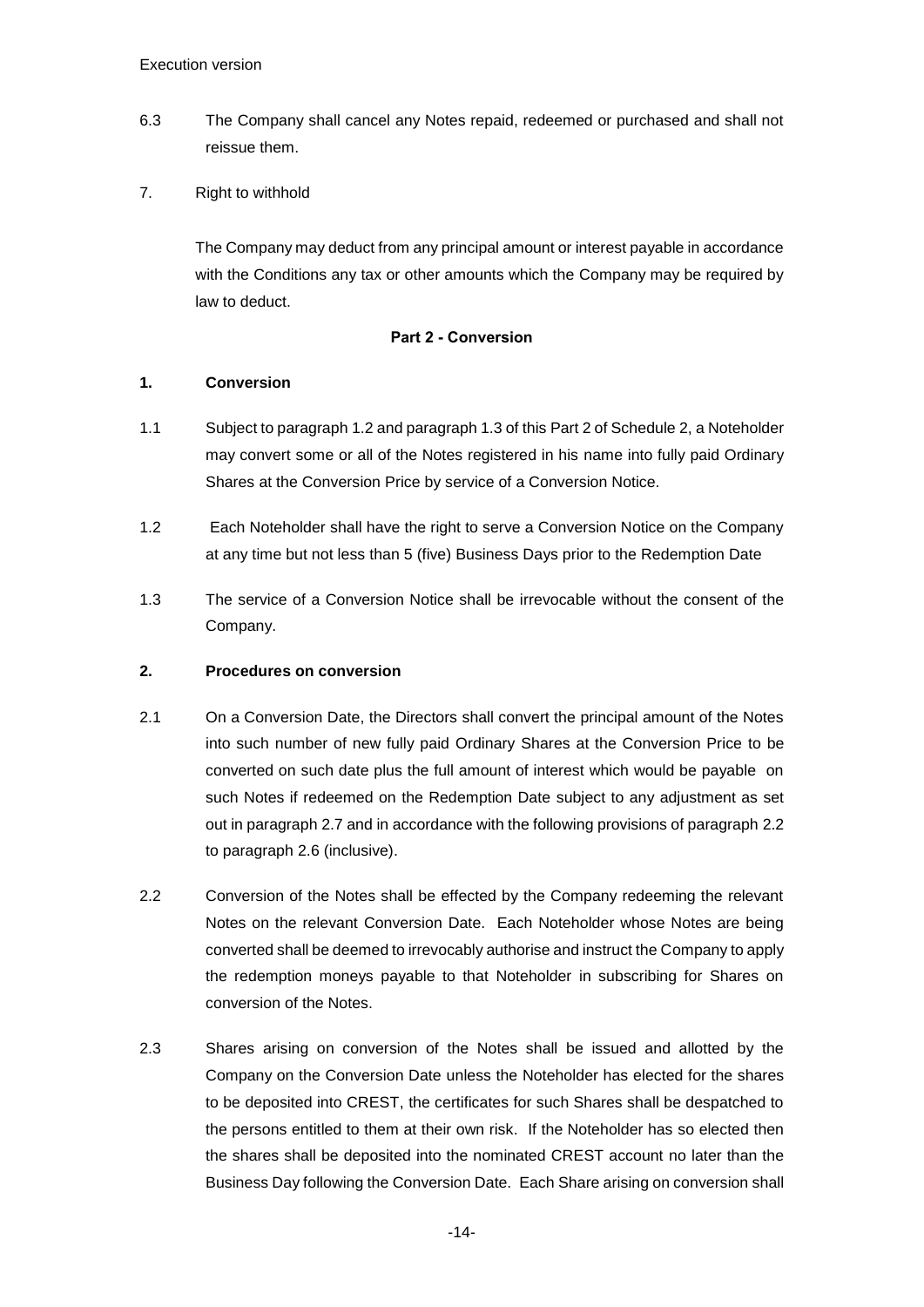- 6.3 The Company shall cancel any Notes repaid, redeemed or purchased and shall not reissue them.
- 7. Right to withhold

The Company may deduct from any principal amount or interest payable in accordance with the Conditions any tax or other amounts which the Company may be required by law to deduct.

### **Part 2 - Conversion**

### <span id="page-15-0"></span>**1. Conversion**

- 1.1 Subject to paragraph 1.2 and paragraph 1.3 of this Part 2 of Schedule 2, a Noteholder may convert some or all of the Notes registered in his name into fully paid Ordinary Shares at the Conversion Price by service of a Conversion Notice.
- 1.2 Each Noteholder shall have the right to serve a Conversion Notice on the Company at any time but not less than 5 (five) Business Days prior to the Redemption Date
- 1.3 The service of a Conversion Notice shall be irrevocable without the consent of the Company.

# **2. Procedures on conversion**

- 2.1 On a Conversion Date, the Directors shall convert the principal amount of the Notes into such number of new fully paid Ordinary Shares at the Conversion Price to be converted on such date plus the full amount of interest which would be payable on such Notes if redeemed on the Redemption Date subject to any adjustment as set out in paragraph 2.7 and in accordance with the following provisions of paragraph 2.2 to paragraph 2.6 (inclusive).
- 2.2 Conversion of the Notes shall be effected by the Company redeeming the relevant Notes on the relevant Conversion Date. Each Noteholder whose Notes are being converted shall be deemed to irrevocably authorise and instruct the Company to apply the redemption moneys payable to that Noteholder in subscribing for Shares on conversion of the Notes.
- 2.3 Shares arising on conversion of the Notes shall be issued and allotted by the Company on the Conversion Date unless the Noteholder has elected for the shares to be deposited into CREST, the certificates for such Shares shall be despatched to the persons entitled to them at their own risk. If the Noteholder has so elected then the shares shall be deposited into the nominated CREST account no later than the Business Day following the Conversion Date. Each Share arising on conversion shall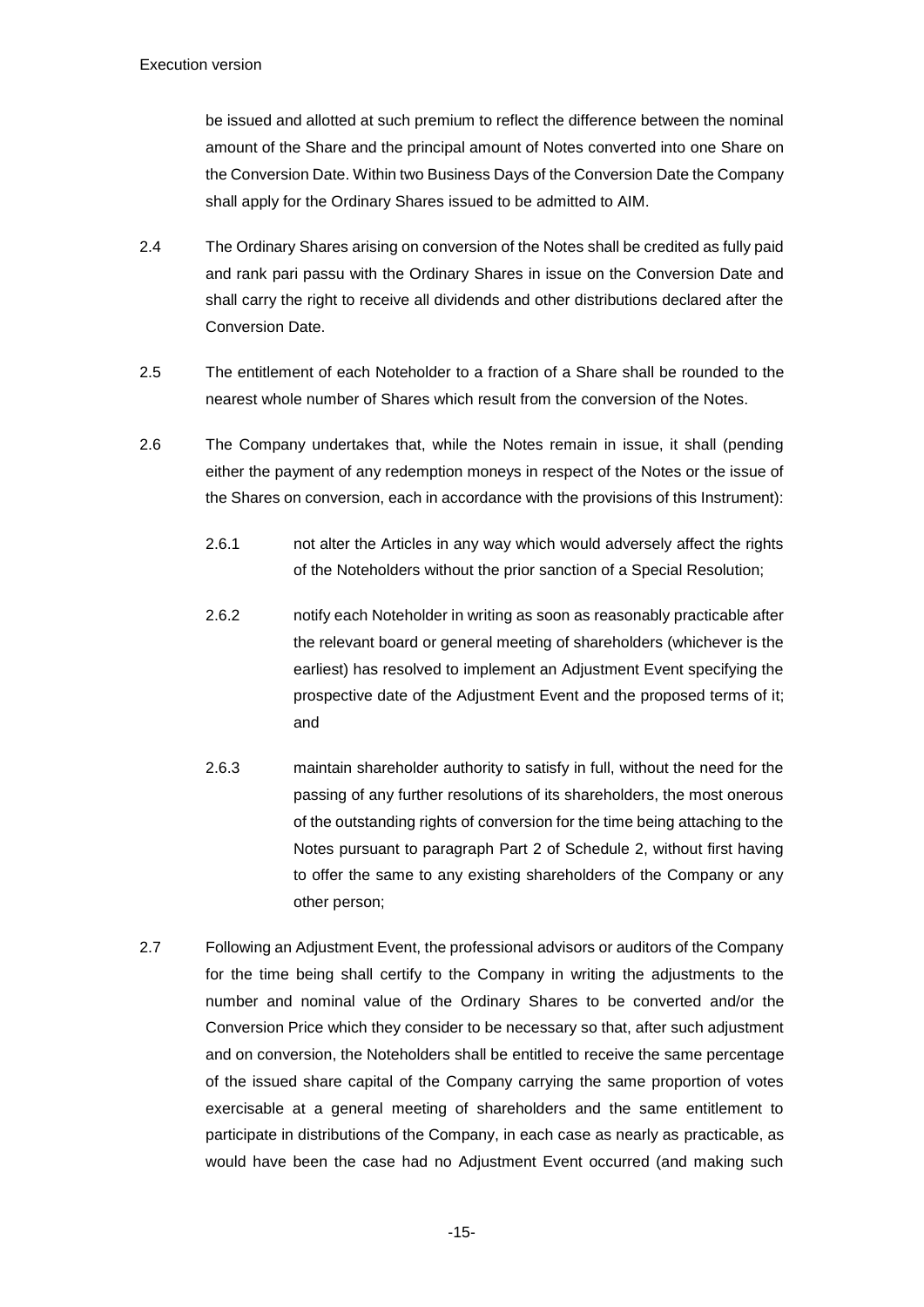be issued and allotted at such premium to reflect the difference between the nominal amount of the Share and the principal amount of Notes converted into one Share on the Conversion Date. Within two Business Days of the Conversion Date the Company shall apply for the Ordinary Shares issued to be admitted to AIM.

- 2.4 The Ordinary Shares arising on conversion of the Notes shall be credited as fully paid and rank pari passu with the Ordinary Shares in issue on the Conversion Date and shall carry the right to receive all dividends and other distributions declared after the Conversion Date.
- 2.5 The entitlement of each Noteholder to a fraction of a Share shall be rounded to the nearest whole number of Shares which result from the conversion of the Notes.
- 2.6 The Company undertakes that, while the Notes remain in issue, it shall (pending either the payment of any redemption moneys in respect of the Notes or the issue of the Shares on conversion, each in accordance with the provisions of this Instrument):
	- 2.6.1 not alter the Articles in any way which would adversely affect the rights of the Noteholders without the prior sanction of a Special Resolution;
	- 2.6.2 notify each Noteholder in writing as soon as reasonably practicable after the relevant board or general meeting of shareholders (whichever is the earliest) has resolved to implement an Adjustment Event specifying the prospective date of the Adjustment Event and the proposed terms of it; and
	- 2.6.3 maintain shareholder authority to satisfy in full, without the need for the passing of any further resolutions of its shareholders, the most onerous of the outstanding rights of conversion for the time being attaching to the Notes pursuant to paragraph Part 2 of Schedule 2, without first having to offer the same to any existing shareholders of the Company or any other person;
- 2.7 Following an Adjustment Event, the professional advisors or auditors of the Company for the time being shall certify to the Company in writing the adjustments to the number and nominal value of the Ordinary Shares to be converted and/or the Conversion Price which they consider to be necessary so that, after such adjustment and on conversion, the Noteholders shall be entitled to receive the same percentage of the issued share capital of the Company carrying the same proportion of votes exercisable at a general meeting of shareholders and the same entitlement to participate in distributions of the Company, in each case as nearly as practicable, as would have been the case had no Adjustment Event occurred (and making such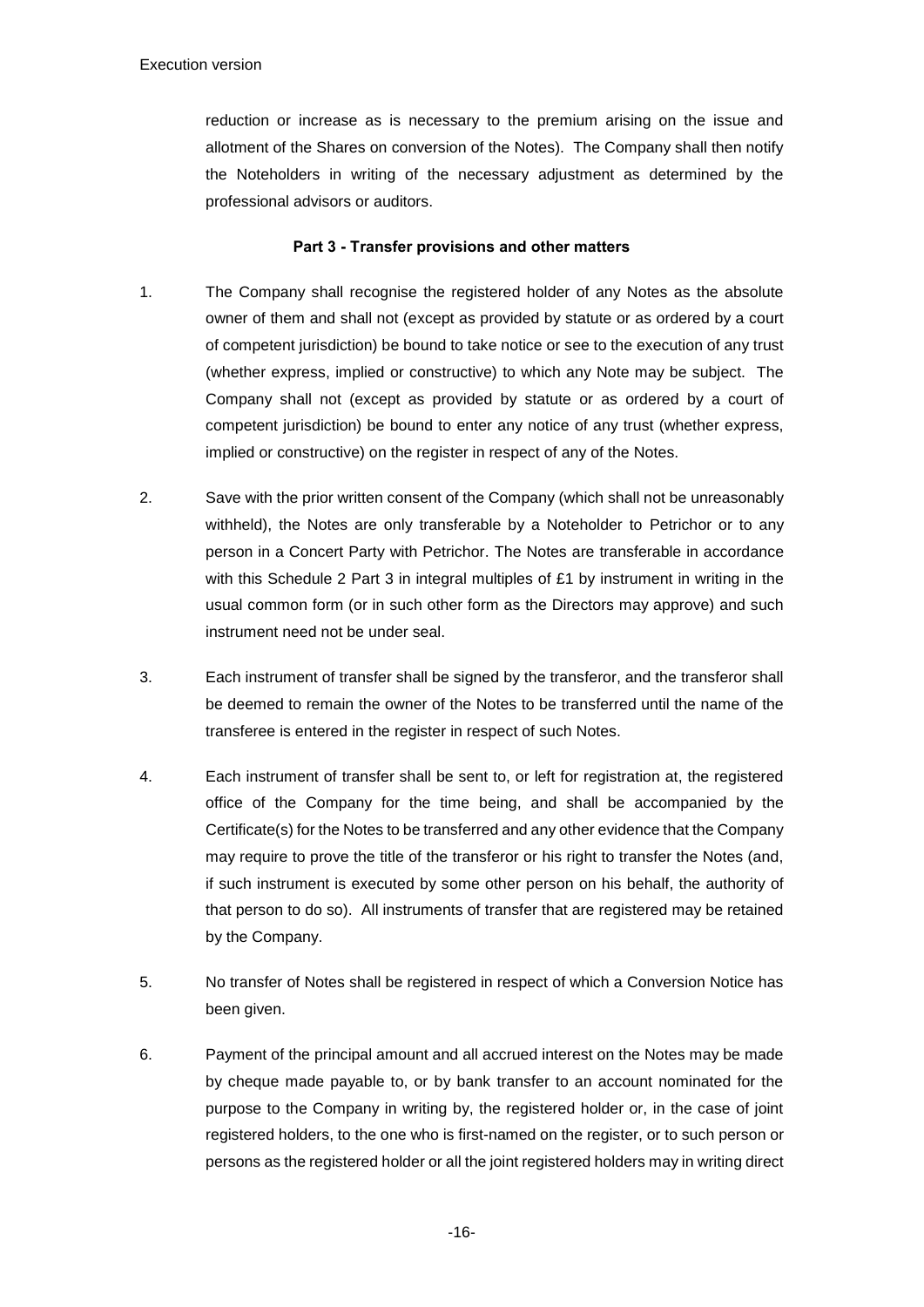reduction or increase as is necessary to the premium arising on the issue and allotment of the Shares on conversion of the Notes). The Company shall then notify the Noteholders in writing of the necessary adjustment as determined by the professional advisors or auditors.

### **Part 3 - Transfer provisions and other matters**

- <span id="page-17-0"></span>1. The Company shall recognise the registered holder of any Notes as the absolute owner of them and shall not (except as provided by statute or as ordered by a court of competent jurisdiction) be bound to take notice or see to the execution of any trust (whether express, implied or constructive) to which any Note may be subject. The Company shall not (except as provided by statute or as ordered by a court of competent jurisdiction) be bound to enter any notice of any trust (whether express, implied or constructive) on the register in respect of any of the Notes.
- 2. Save with the prior written consent of the Company (which shall not be unreasonably withheld), the Notes are only transferable by a Noteholder to Petrichor or to any person in a Concert Party with Petrichor. The Notes are transferable in accordance with this Schedule 2 Part 3 in integral multiples of £1 by instrument in writing in the usual common form (or in such other form as the Directors may approve) and such instrument need not be under seal.
- 3. Each instrument of transfer shall be signed by the transferor, and the transferor shall be deemed to remain the owner of the Notes to be transferred until the name of the transferee is entered in the register in respect of such Notes.
- 4. Each instrument of transfer shall be sent to, or left for registration at, the registered office of the Company for the time being, and shall be accompanied by the Certificate(s) for the Notes to be transferred and any other evidence that the Company may require to prove the title of the transferor or his right to transfer the Notes (and, if such instrument is executed by some other person on his behalf, the authority of that person to do so). All instruments of transfer that are registered may be retained by the Company.
- 5. No transfer of Notes shall be registered in respect of which a Conversion Notice has been given.
- 6. Payment of the principal amount and all accrued interest on the Notes may be made by cheque made payable to, or by bank transfer to an account nominated for the purpose to the Company in writing by, the registered holder or, in the case of joint registered holders, to the one who is first-named on the register, or to such person or persons as the registered holder or all the joint registered holders may in writing direct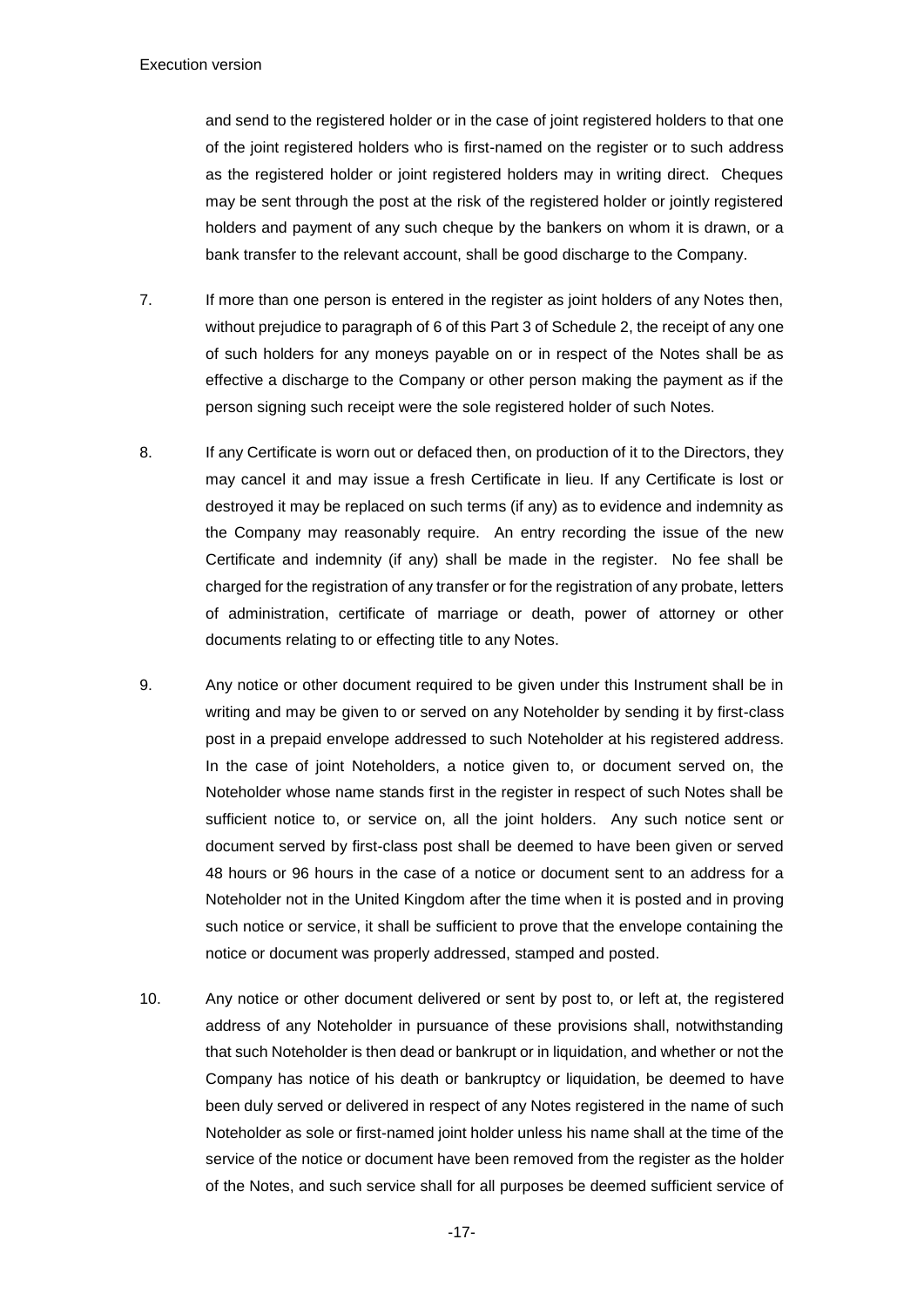and send to the registered holder or in the case of joint registered holders to that one of the joint registered holders who is first-named on the register or to such address as the registered holder or joint registered holders may in writing direct. Cheques may be sent through the post at the risk of the registered holder or jointly registered holders and payment of any such cheque by the bankers on whom it is drawn, or a bank transfer to the relevant account, shall be good discharge to the Company.

- 7. If more than one person is entered in the register as joint holders of any Notes then, without prejudice to paragraph of 6 of this Part 3 of Schedule 2, the receipt of any one of such holders for any moneys payable on or in respect of the Notes shall be as effective a discharge to the Company or other person making the payment as if the person signing such receipt were the sole registered holder of such Notes.
- 8. If any Certificate is worn out or defaced then, on production of it to the Directors, they may cancel it and may issue a fresh Certificate in lieu. If any Certificate is lost or destroyed it may be replaced on such terms (if any) as to evidence and indemnity as the Company may reasonably require. An entry recording the issue of the new Certificate and indemnity (if any) shall be made in the register. No fee shall be charged for the registration of any transfer or for the registration of any probate, letters of administration, certificate of marriage or death, power of attorney or other documents relating to or effecting title to any Notes.
- 9. Any notice or other document required to be given under this Instrument shall be in writing and may be given to or served on any Noteholder by sending it by first-class post in a prepaid envelope addressed to such Noteholder at his registered address. In the case of joint Noteholders, a notice given to, or document served on, the Noteholder whose name stands first in the register in respect of such Notes shall be sufficient notice to, or service on, all the joint holders. Any such notice sent or document served by first-class post shall be deemed to have been given or served 48 hours or 96 hours in the case of a notice or document sent to an address for a Noteholder not in the United Kingdom after the time when it is posted and in proving such notice or service, it shall be sufficient to prove that the envelope containing the notice or document was properly addressed, stamped and posted.
- 10. Any notice or other document delivered or sent by post to, or left at, the registered address of any Noteholder in pursuance of these provisions shall, notwithstanding that such Noteholder is then dead or bankrupt or in liquidation, and whether or not the Company has notice of his death or bankruptcy or liquidation, be deemed to have been duly served or delivered in respect of any Notes registered in the name of such Noteholder as sole or first-named joint holder unless his name shall at the time of the service of the notice or document have been removed from the register as the holder of the Notes, and such service shall for all purposes be deemed sufficient service of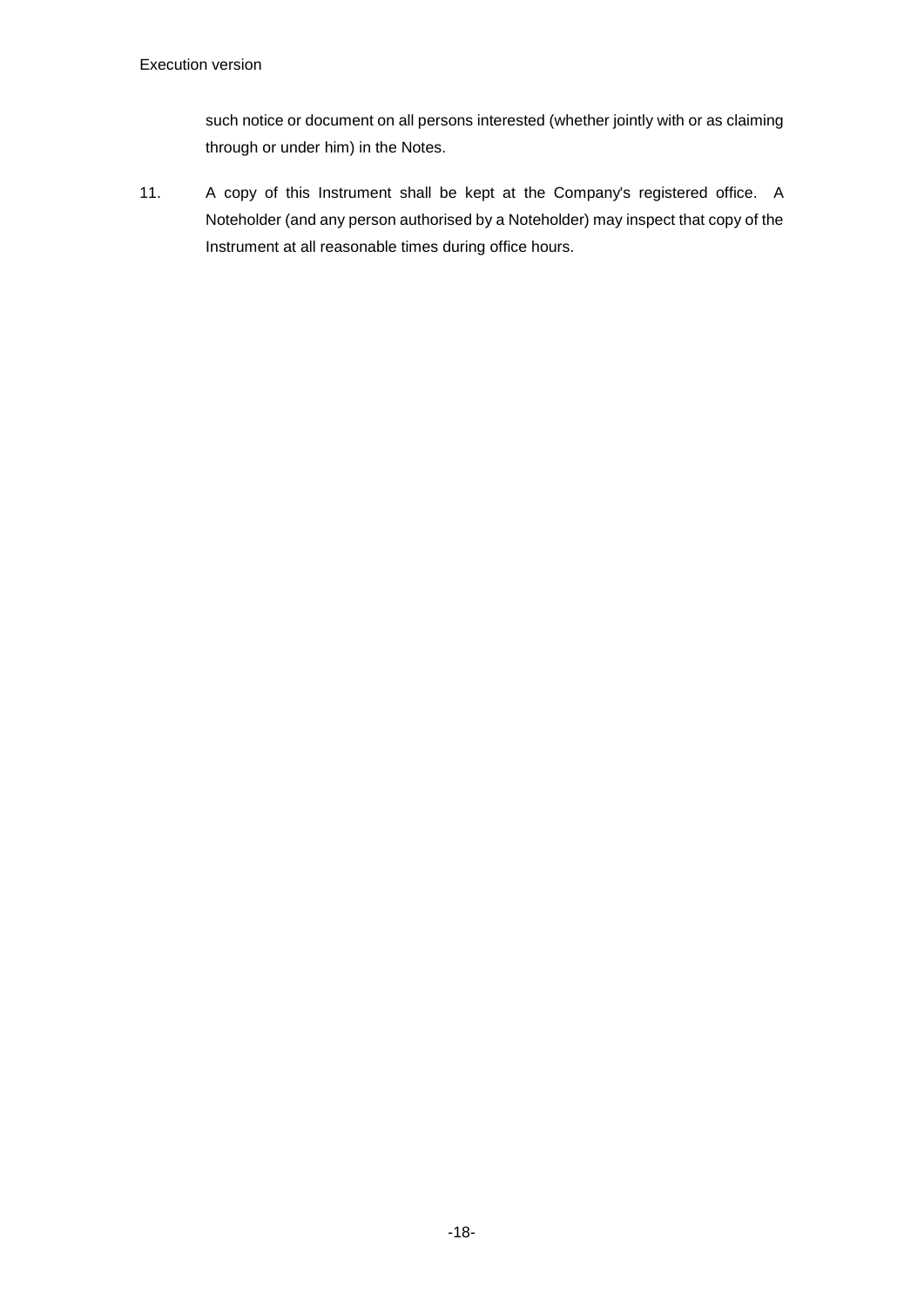such notice or document on all persons interested (whether jointly with or as claiming through or under him) in the Notes.

11. A copy of this Instrument shall be kept at the Company's registered office. A Noteholder (and any person authorised by a Noteholder) may inspect that copy of the Instrument at all reasonable times during office hours.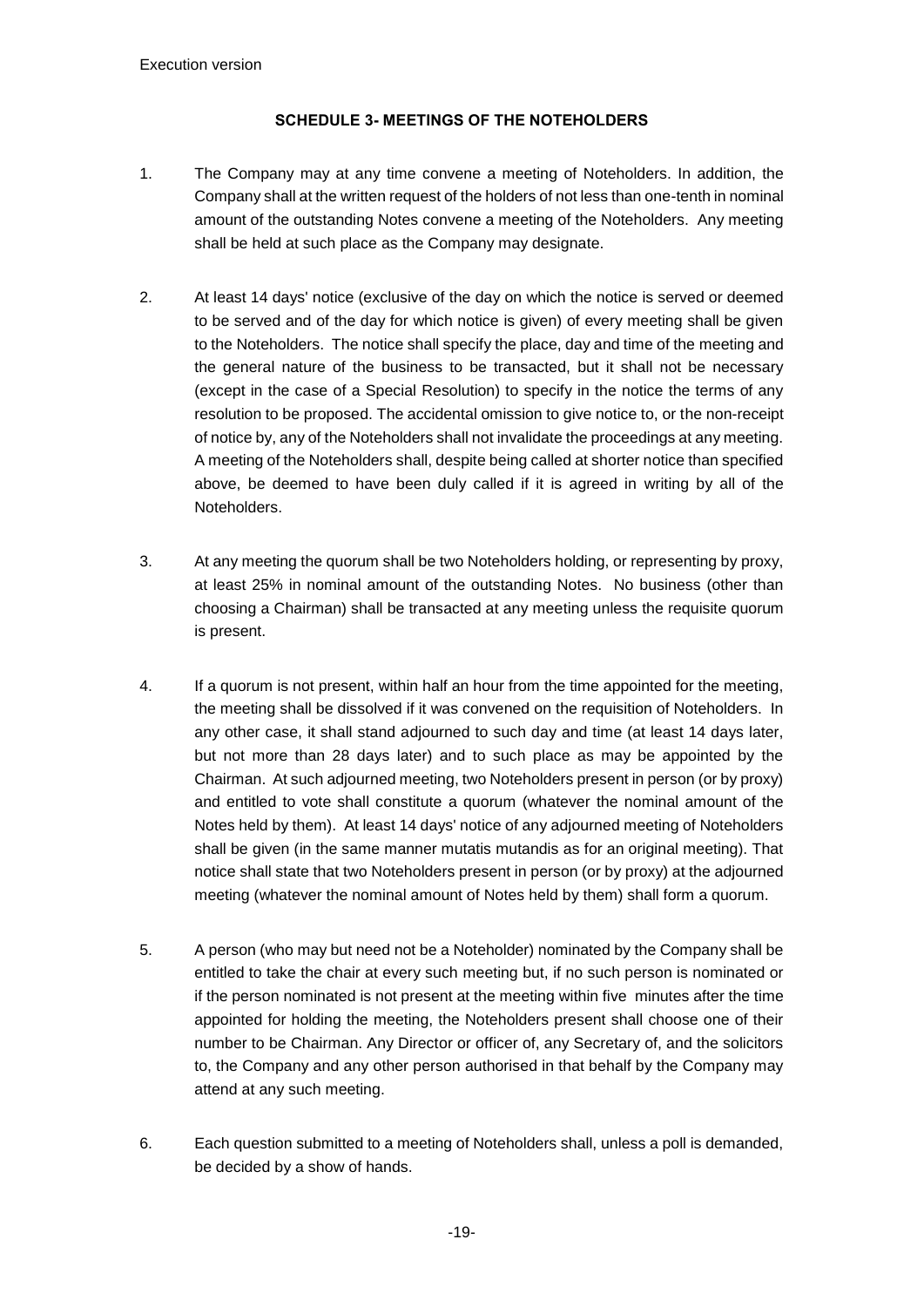# <span id="page-20-1"></span>**SCHEDULE 3- MEETINGS OF THE NOTEHOLDERS**

- <span id="page-20-0"></span>1. The Company may at any time convene a meeting of Noteholders. In addition, the Company shall at the written request of the holders of not less than one-tenth in nominal amount of the outstanding Notes convene a meeting of the Noteholders. Any meeting shall be held at such place as the Company may designate.
- 2. At least 14 days' notice (exclusive of the day on which the notice is served or deemed to be served and of the day for which notice is given) of every meeting shall be given to the Noteholders. The notice shall specify the place, day and time of the meeting and the general nature of the business to be transacted, but it shall not be necessary (except in the case of a Special Resolution) to specify in the notice the terms of any resolution to be proposed. The accidental omission to give notice to, or the non-receipt of notice by, any of the Noteholders shall not invalidate the proceedings at any meeting. A meeting of the Noteholders shall, despite being called at shorter notice than specified above, be deemed to have been duly called if it is agreed in writing by all of the Noteholders.
- 3. At any meeting the quorum shall be two Noteholders holding, or representing by proxy, at least 25% in nominal amount of the outstanding Notes. No business (other than choosing a Chairman) shall be transacted at any meeting unless the requisite quorum is present.
- 4. If a quorum is not present, within half an hour from the time appointed for the meeting, the meeting shall be dissolved if it was convened on the requisition of Noteholders. In any other case, it shall stand adjourned to such day and time (at least 14 days later, but not more than 28 days later) and to such place as may be appointed by the Chairman. At such adjourned meeting, two Noteholders present in person (or by proxy) and entitled to vote shall constitute a quorum (whatever the nominal amount of the Notes held by them). At least 14 days' notice of any adjourned meeting of Noteholders shall be given (in the same manner mutatis mutandis as for an original meeting). That notice shall state that two Noteholders present in person (or by proxy) at the adjourned meeting (whatever the nominal amount of Notes held by them) shall form a quorum.
- 5. A person (who may but need not be a Noteholder) nominated by the Company shall be entitled to take the chair at every such meeting but, if no such person is nominated or if the person nominated is not present at the meeting within five minutes after the time appointed for holding the meeting, the Noteholders present shall choose one of their number to be Chairman. Any Director or officer of, any Secretary of, and the solicitors to, the Company and any other person authorised in that behalf by the Company may attend at any such meeting.
- 6. Each question submitted to a meeting of Noteholders shall, unless a poll is demanded, be decided by a show of hands.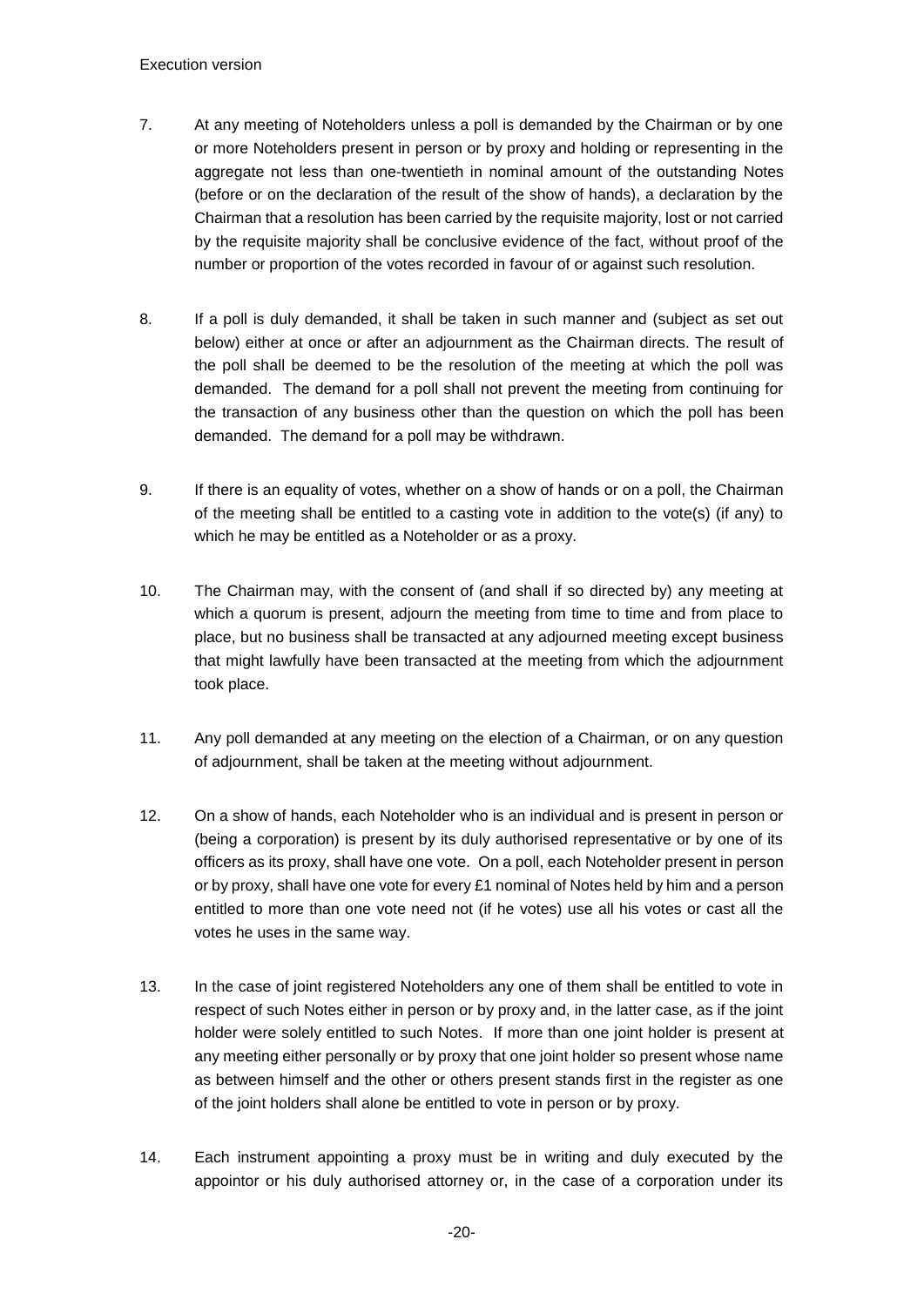- 7. At any meeting of Noteholders unless a poll is demanded by the Chairman or by one or more Noteholders present in person or by proxy and holding or representing in the aggregate not less than one-twentieth in nominal amount of the outstanding Notes (before or on the declaration of the result of the show of hands), a declaration by the Chairman that a resolution has been carried by the requisite majority, lost or not carried by the requisite majority shall be conclusive evidence of the fact, without proof of the number or proportion of the votes recorded in favour of or against such resolution.
- 8. If a poll is duly demanded, it shall be taken in such manner and (subject as set out below) either at once or after an adjournment as the Chairman directs. The result of the poll shall be deemed to be the resolution of the meeting at which the poll was demanded. The demand for a poll shall not prevent the meeting from continuing for the transaction of any business other than the question on which the poll has been demanded. The demand for a poll may be withdrawn.
- 9. If there is an equality of votes, whether on a show of hands or on a poll, the Chairman of the meeting shall be entitled to a casting vote in addition to the vote(s) (if any) to which he may be entitled as a Noteholder or as a proxy.
- 10. The Chairman may, with the consent of (and shall if so directed by) any meeting at which a quorum is present, adjourn the meeting from time to time and from place to place, but no business shall be transacted at any adjourned meeting except business that might lawfully have been transacted at the meeting from which the adjournment took place.
- 11. Any poll demanded at any meeting on the election of a Chairman, or on any question of adjournment, shall be taken at the meeting without adjournment.
- 12. On a show of hands, each Noteholder who is an individual and is present in person or (being a corporation) is present by its duly authorised representative or by one of its officers as its proxy, shall have one vote. On a poll, each Noteholder present in person or by proxy, shall have one vote for every £1 nominal of Notes held by him and a person entitled to more than one vote need not (if he votes) use all his votes or cast all the votes he uses in the same way.
- 13. In the case of joint registered Noteholders any one of them shall be entitled to vote in respect of such Notes either in person or by proxy and, in the latter case, as if the joint holder were solely entitled to such Notes. If more than one joint holder is present at any meeting either personally or by proxy that one joint holder so present whose name as between himself and the other or others present stands first in the register as one of the joint holders shall alone be entitled to vote in person or by proxy.
- 14. Each instrument appointing a proxy must be in writing and duly executed by the appointor or his duly authorised attorney or, in the case of a corporation under its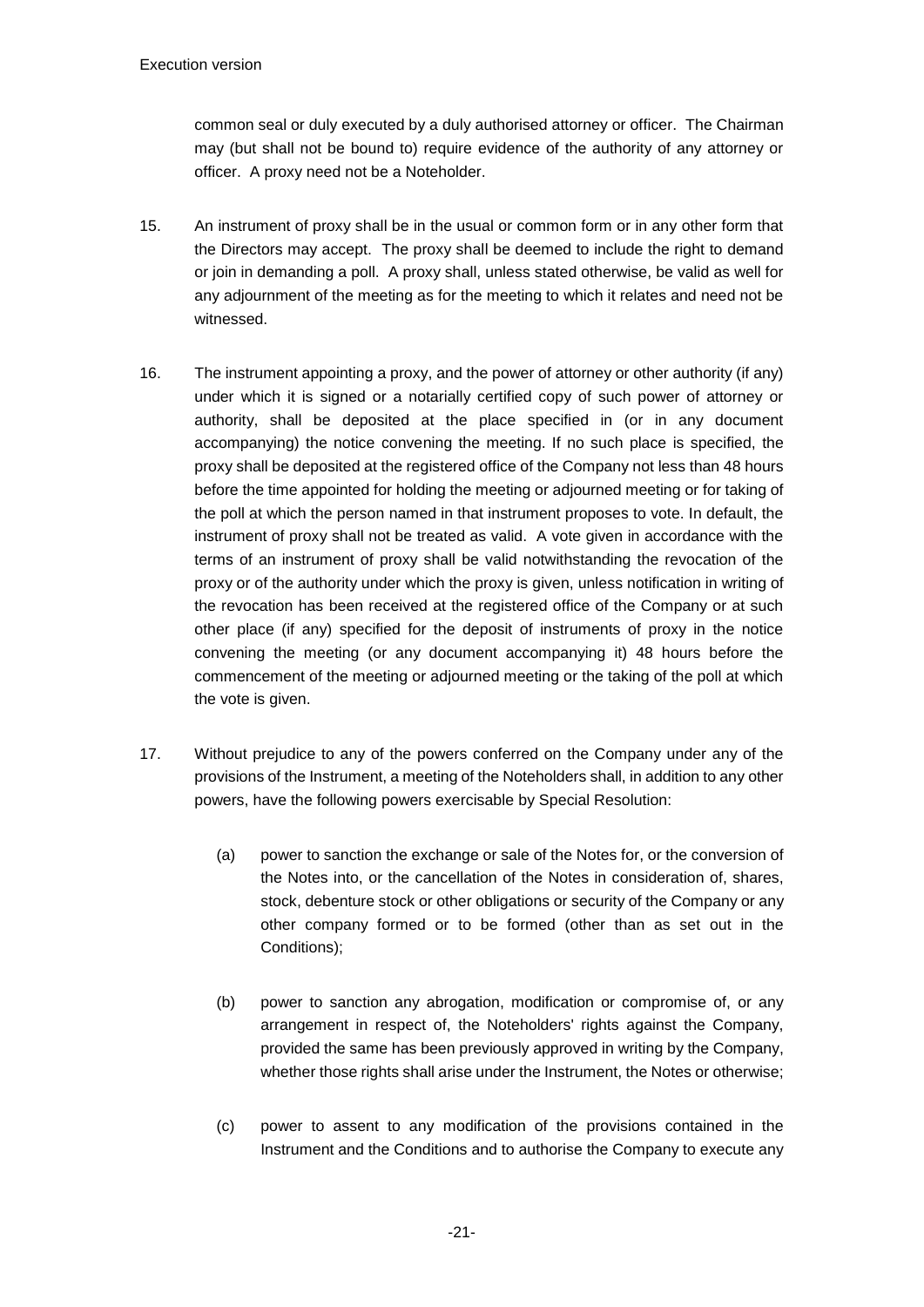common seal or duly executed by a duly authorised attorney or officer. The Chairman may (but shall not be bound to) require evidence of the authority of any attorney or officer. A proxy need not be a Noteholder.

- 15. An instrument of proxy shall be in the usual or common form or in any other form that the Directors may accept. The proxy shall be deemed to include the right to demand or join in demanding a poll. A proxy shall, unless stated otherwise, be valid as well for any adjournment of the meeting as for the meeting to which it relates and need not be witnessed.
- 16. The instrument appointing a proxy, and the power of attorney or other authority (if any) under which it is signed or a notarially certified copy of such power of attorney or authority, shall be deposited at the place specified in (or in any document accompanying) the notice convening the meeting. If no such place is specified, the proxy shall be deposited at the registered office of the Company not less than 48 hours before the time appointed for holding the meeting or adjourned meeting or for taking of the poll at which the person named in that instrument proposes to vote. In default, the instrument of proxy shall not be treated as valid. A vote given in accordance with the terms of an instrument of proxy shall be valid notwithstanding the revocation of the proxy or of the authority under which the proxy is given, unless notification in writing of the revocation has been received at the registered office of the Company or at such other place (if any) specified for the deposit of instruments of proxy in the notice convening the meeting (or any document accompanying it) 48 hours before the commencement of the meeting or adjourned meeting or the taking of the poll at which the vote is given.
- 17. Without prejudice to any of the powers conferred on the Company under any of the provisions of the Instrument, a meeting of the Noteholders shall, in addition to any other powers, have the following powers exercisable by Special Resolution:
	- (a) power to sanction the exchange or sale of the Notes for, or the conversion of the Notes into, or the cancellation of the Notes in consideration of, shares, stock, debenture stock or other obligations or security of the Company or any other company formed or to be formed (other than as set out in the Conditions);
	- (b) power to sanction any abrogation, modification or compromise of, or any arrangement in respect of, the Noteholders' rights against the Company, provided the same has been previously approved in writing by the Company, whether those rights shall arise under the Instrument, the Notes or otherwise;
	- (c) power to assent to any modification of the provisions contained in the Instrument and the Conditions and to authorise the Company to execute any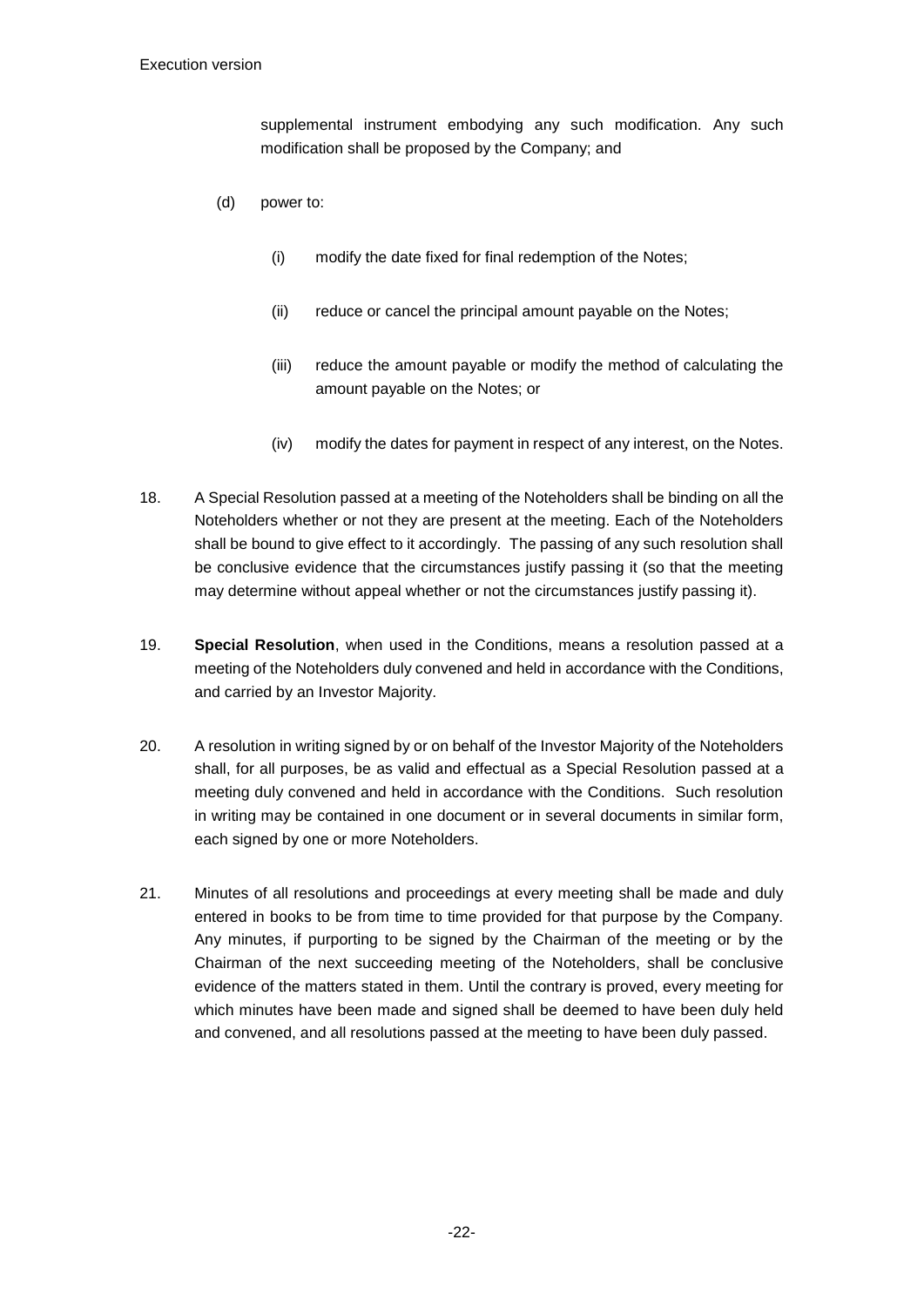supplemental instrument embodying any such modification. Any such modification shall be proposed by the Company; and

- (d) power to:
	- (i) modify the date fixed for final redemption of the Notes;
	- (ii) reduce or cancel the principal amount payable on the Notes;
	- (iii) reduce the amount payable or modify the method of calculating the amount payable on the Notes; or
	- (iv) modify the dates for payment in respect of any interest, on the Notes.
- 18. A Special Resolution passed at a meeting of the Noteholders shall be binding on all the Noteholders whether or not they are present at the meeting. Each of the Noteholders shall be bound to give effect to it accordingly. The passing of any such resolution shall be conclusive evidence that the circumstances justify passing it (so that the meeting may determine without appeal whether or not the circumstances justify passing it).
- 19. **Special Resolution**, when used in the Conditions, means a resolution passed at a meeting of the Noteholders duly convened and held in accordance with the Conditions, and carried by an Investor Majority.
- 20. A resolution in writing signed by or on behalf of the Investor Majority of the Noteholders shall, for all purposes, be as valid and effectual as a Special Resolution passed at a meeting duly convened and held in accordance with the Conditions. Such resolution in writing may be contained in one document or in several documents in similar form, each signed by one or more Noteholders.
- 21. Minutes of all resolutions and proceedings at every meeting shall be made and duly entered in books to be from time to time provided for that purpose by the Company. Any minutes, if purporting to be signed by the Chairman of the meeting or by the Chairman of the next succeeding meeting of the Noteholders, shall be conclusive evidence of the matters stated in them. Until the contrary is proved, every meeting for which minutes have been made and signed shall be deemed to have been duly held and convened, and all resolutions passed at the meeting to have been duly passed.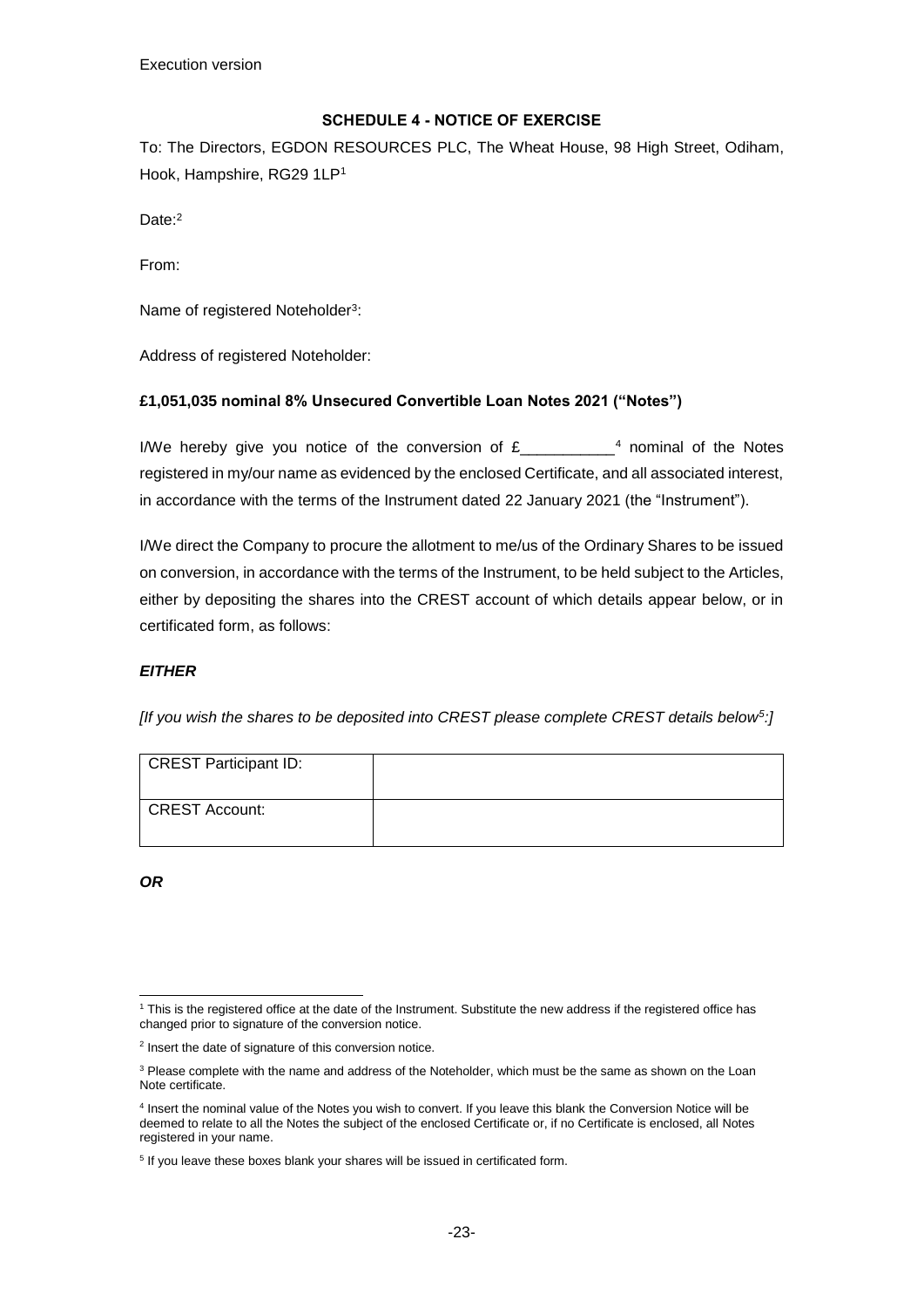# <span id="page-24-0"></span>**SCHEDULE 4 - NOTICE OF EXERCISE**

To: The Directors, EGDON RESOURCES PLC, The Wheat House, 98 High Street, Odiham, Hook, Hampshire, RG29 1LP<sup>1</sup>

Date:<sup>2</sup>

From:

Name of registered Noteholder<sup>3</sup>:

Address of registered Noteholder:

### **£1,051,035 nominal 8% Unsecured Convertible Loan Notes 2021 ("Notes")**

I/We hereby give you notice of the conversion of  $E_{\text{max}}$   $4$  nominal of the Notes registered in my/our name as evidenced by the enclosed Certificate, and all associated interest, in accordance with the terms of the Instrument dated 22 January 2021 (the "Instrument").

I/We direct the Company to procure the allotment to me/us of the Ordinary Shares to be issued on conversion, in accordance with the terms of the Instrument, to be held subject to the Articles, either by depositing the shares into the CREST account of which details appear below, or in certificated form, as follows:

# *EITHER*

*[If you wish the shares to be deposited into CREST please complete CREST details below<sup>5</sup> :]*

| CREST Participant ID: |  |
|-----------------------|--|
| CREST Account:        |  |

*OR*

<sup>-</sup><sup>1</sup> This is the registered office at the date of the Instrument. Substitute the new address if the registered office has changed prior to signature of the conversion notice.

<sup>&</sup>lt;sup>2</sup> Insert the date of signature of this conversion notice.

<sup>&</sup>lt;sup>3</sup> Please complete with the name and address of the Noteholder, which must be the same as shown on the Loan Note certificate.

<sup>4</sup> Insert the nominal value of the Notes you wish to convert. If you leave this blank the Conversion Notice will be deemed to relate to all the Notes the subject of the enclosed Certificate or, if no Certificate is enclosed, all Notes registered in your name.

<sup>&</sup>lt;sup>5</sup> If you leave these boxes blank your shares will be issued in certificated form.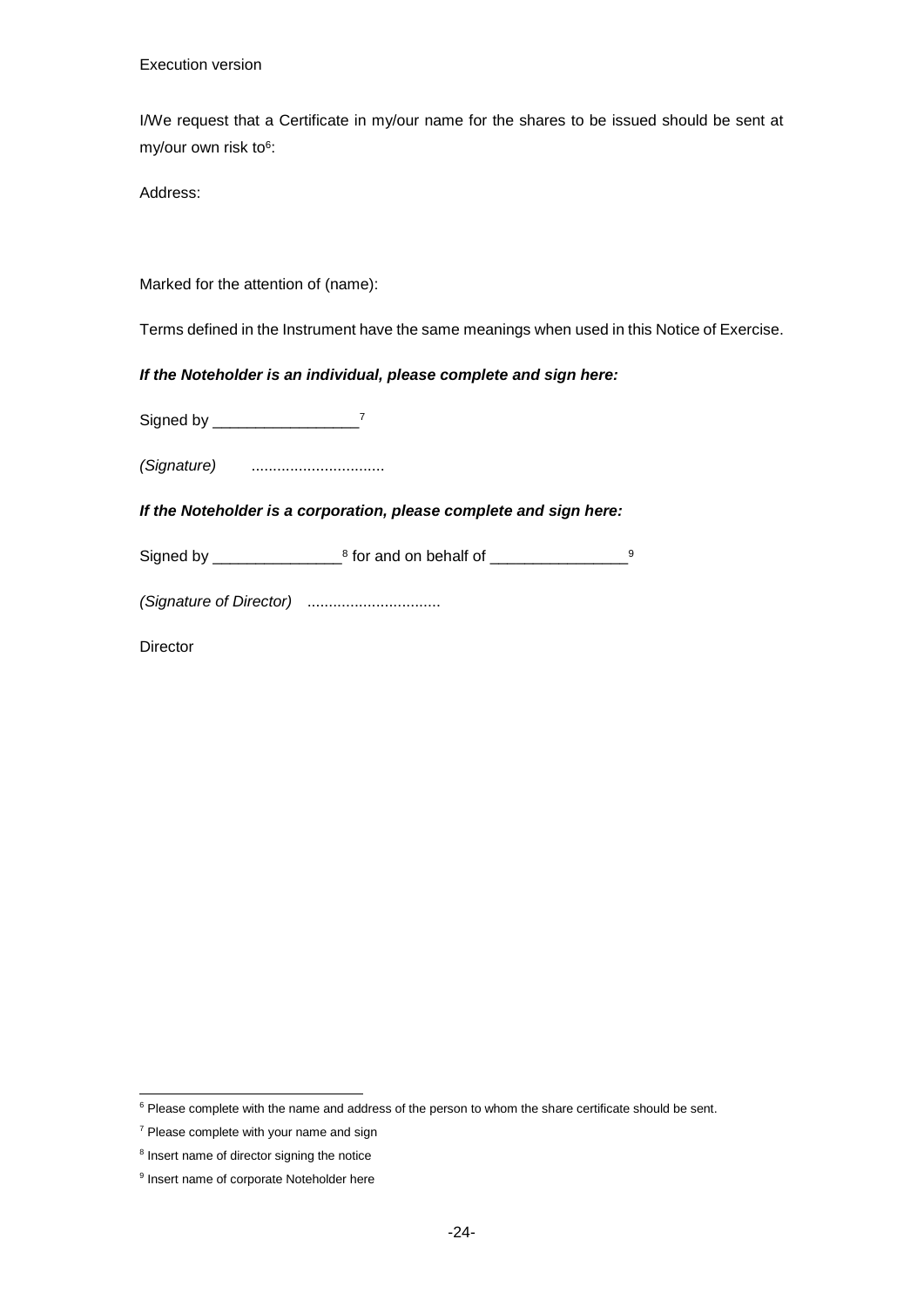Execution version

I/We request that a Certificate in my/our name for the shares to be issued should be sent at my/our own risk to<sup>6</sup>:

Address:

Marked for the attention of (name):

Terms defined in the Instrument have the same meanings when used in this Notice of Exercise.

#### *If the Noteholder is an individual, please complete and sign here:*

Signed by \_\_\_\_\_\_\_\_\_\_\_\_\_\_\_\_\_<sup>7</sup>

*(Signature)* ...............................

#### *If the Noteholder is a corporation, please complete and sign here:*

Signed by \_\_\_\_\_\_\_\_\_\_\_\_\_\_\_\_\_\_\_<sup>8</sup> for and on behalf of \_\_\_\_\_\_\_\_\_\_\_\_\_\_\_\_\_\_\_\_\_9

*(Signature of Director)* ...............................

**Director** 

-

 $6$  Please complete with the name and address of the person to whom the share certificate should be sent.

<sup>7</sup> Please complete with your name and sign

<sup>&</sup>lt;sup>8</sup> Insert name of director signing the notice

<sup>&</sup>lt;sup>9</sup> Insert name of corporate Noteholder here